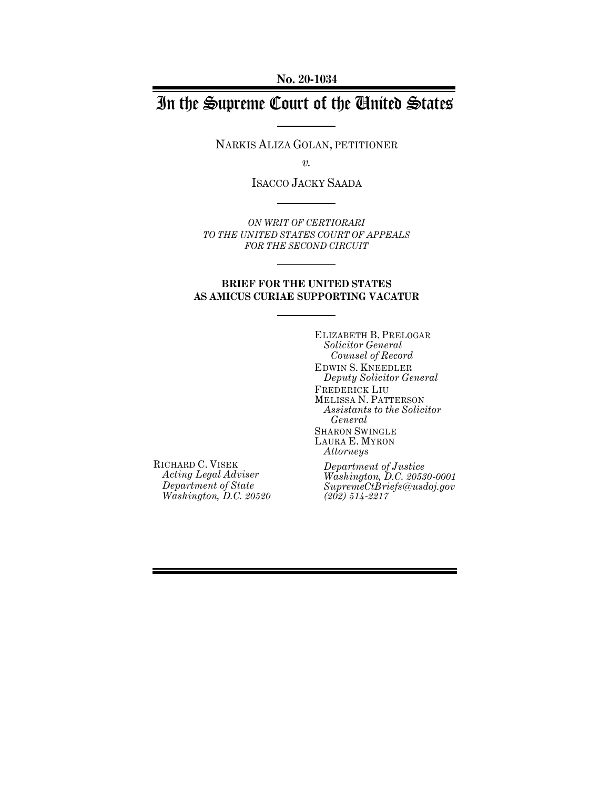**No. 20-1034**

# In the Supreme Court of the United States

NARKIS ALIZA GOLAN, PETITIONER

*v.*

ISACCO JACKY SAADA

*ON WRIT OF CERTIORARI TO THE UNITED STATES COURT OF APPEALS FOR THE SECOND CIRCUIT*

#### **BRIEF FOR THE UNITED STATES AS AMICUS CURIAE SUPPORTING VACATUR**

ELIZABETH B. PRELOGAR *Solicitor General Counsel of Record* EDWIN S. KNEEDLER *Deputy Solicitor General* FREDERICK LIU MELISSA N. PATTERSON *Assistants to the Solicitor General* SHARON SWINGLE LAURA E. MYRON *Attorneys*

RICHARD C. VISEK *Acting Legal Adviser Department of State Washington, D.C. 20520*

*Department of Justice Washington, D.C. 20530-0001 SupremeCtBriefs@usdoj.gov (202) 514-2217*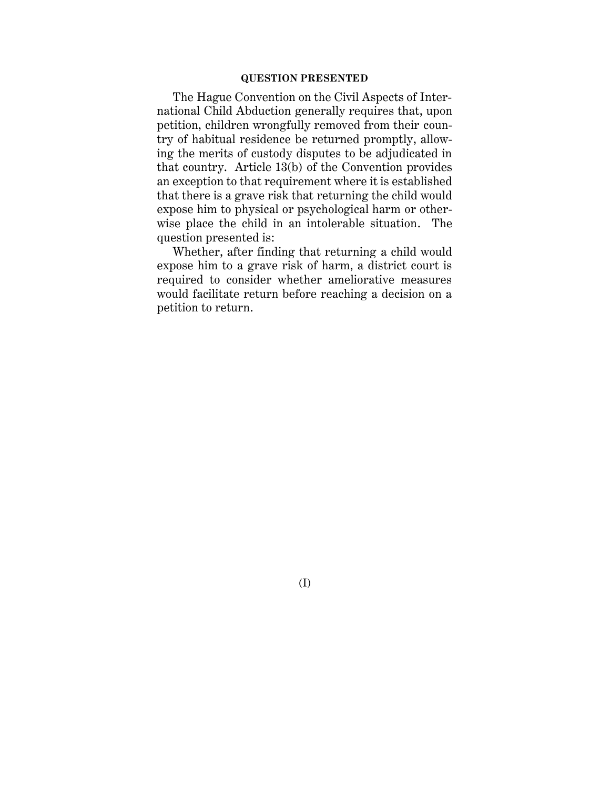#### **QUESTION PRESENTED**

The Hague Convention on the Civil Aspects of International Child Abduction generally requires that, upon petition, children wrongfully removed from their country of habitual residence be returned promptly, allowing the merits of custody disputes to be adjudicated in that country. Article 13(b) of the Convention provides an exception to that requirement where it is established that there is a grave risk that returning the child would expose him to physical or psychological harm or otherwise place the child in an intolerable situation. The question presented is:

Whether, after finding that returning a child would expose him to a grave risk of harm, a district court is required to consider whether ameliorative measures would facilitate return before reaching a decision on a petition to return.

(I)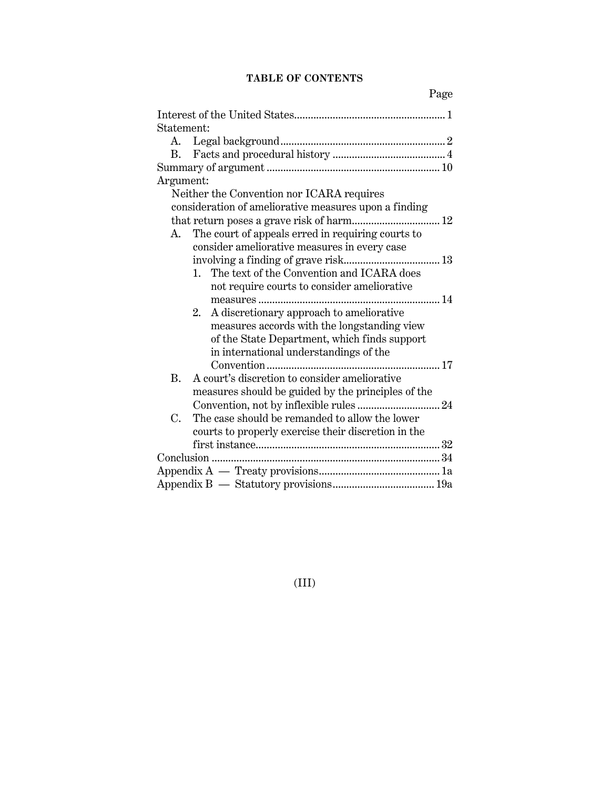## **TABLE OF CONTENTS**

| Statement:                                                 |
|------------------------------------------------------------|
|                                                            |
| B.                                                         |
|                                                            |
| Argument:                                                  |
| Neither the Convention nor ICARA requires                  |
| consideration of ameliorative measures upon a finding      |
| that return poses a grave risk of harm 12                  |
| The court of appeals erred in requiring courts to<br>А.    |
| consider ameliorative measures in every case               |
|                                                            |
| The text of the Convention and ICARA does<br>$1_{\cdots}$  |
| not require courts to consider ameliorative                |
|                                                            |
| A discretionary approach to ameliorative<br>2.             |
| measures accords with the longstanding view                |
| of the State Department, which finds support               |
| in international understandings of the                     |
|                                                            |
| <b>B.</b><br>A court's discretion to consider ameliorative |
| measures should be guided by the principles of the         |
|                                                            |
| C.<br>The case should be remanded to allow the lower       |
|                                                            |
| courts to properly exercise their discretion in the        |
|                                                            |
|                                                            |
|                                                            |
|                                                            |

(III)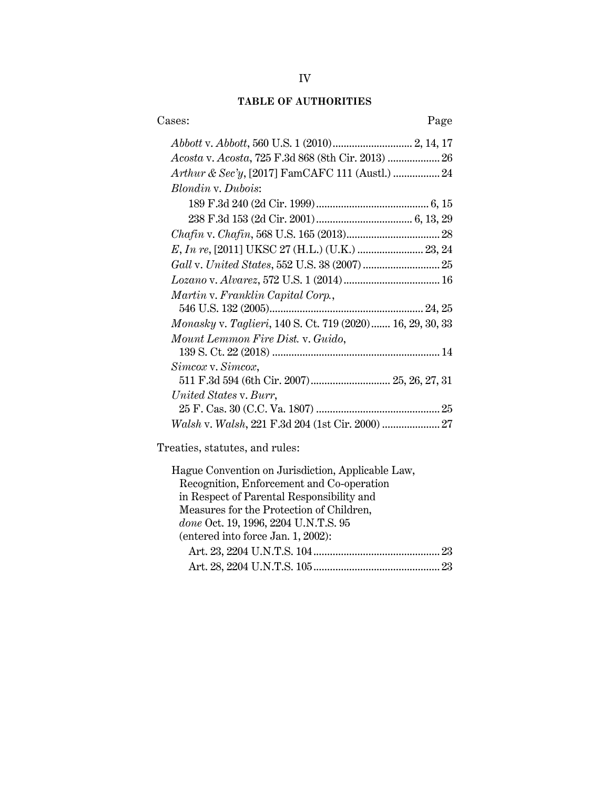## **TABLE OF AUTHORITIES**

| Cases:                                                    | Page |
|-----------------------------------------------------------|------|
|                                                           |      |
| Acosta v. Acosta, 725 F.3d 868 (8th Cir. 2013)  26        |      |
| Arthur & Sec'y, [2017] FamCAFC 111 (Austl.)  24           |      |
| Blondin v. Dubois:                                        |      |
|                                                           |      |
|                                                           |      |
|                                                           |      |
| E, In re, [2011] UKSC 27 (H.L.) (U.K.)  23, 24            |      |
|                                                           |      |
|                                                           |      |
| Martin v. Franklin Capital Corp.,                         |      |
|                                                           |      |
| Monasky v. Taglieri, 140 S. Ct. 719 (2020) 16, 29, 30, 33 |      |
| Mount Lemmon Fire Dist. v. Guido,                         |      |
|                                                           |      |
| Simcox v. Simcox,                                         |      |
| 511 F.3d 594 (6th Cir. 2007) 25, 26, 27, 31               |      |
| United States v. Burr,                                    |      |
|                                                           |      |
|                                                           |      |
|                                                           |      |

Treaties, statutes, and rules:

| Hague Convention on Jurisdiction, Applicable Law, |  |
|---------------------------------------------------|--|
| Recognition, Enforcement and Co-operation         |  |
| in Respect of Parental Responsibility and         |  |
| Measures for the Protection of Children,          |  |
| done Oct. 19, 1996, 2204 U.N.T.S. 95              |  |
| (entered into force Jan. 1, 2002):                |  |
|                                                   |  |
|                                                   |  |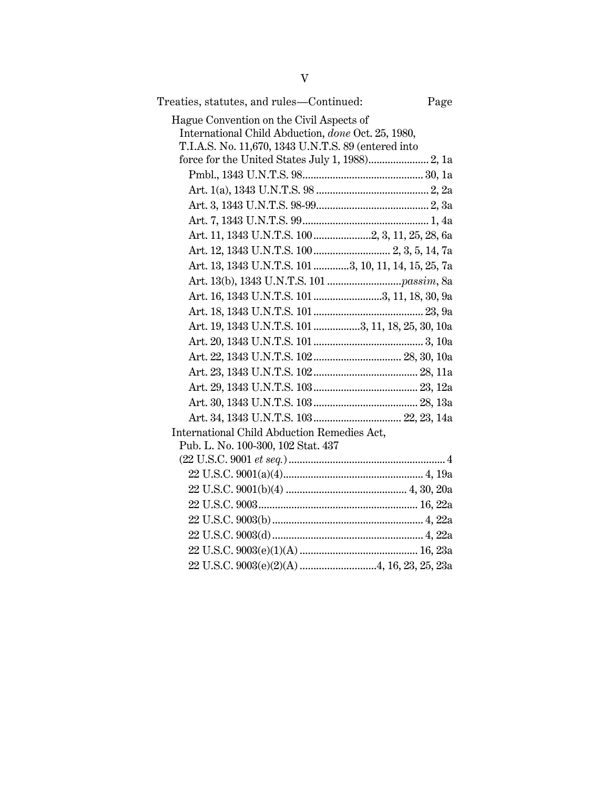| Treaties, statutes, and rules—Continued:<br>Page     |  |
|------------------------------------------------------|--|
| Hague Convention on the Civil Aspects of             |  |
| International Child Abduction, done Oct. 25, 1980,   |  |
| T.I.A.S. No. 11,670, 1343 U.N.T.S. 89 (entered into  |  |
|                                                      |  |
|                                                      |  |
|                                                      |  |
|                                                      |  |
|                                                      |  |
| Art. 11, 1343 U.N.T.S. 1002, 3, 11, 25, 28, 6a       |  |
|                                                      |  |
| Art. 13, 1343 U.N.T.S. 101 3, 10, 11, 14, 15, 25, 7a |  |
|                                                      |  |
| Art. 16, 1343 U.N.T.S. 101 3, 11, 18, 30, 9a         |  |
|                                                      |  |
| Art. 19, 1343 U.N.T.S. 101 3, 11, 18, 25, 30, 10a    |  |
|                                                      |  |
|                                                      |  |
|                                                      |  |
|                                                      |  |
|                                                      |  |
|                                                      |  |
| International Child Abduction Remedies Act,          |  |
| Pub. L. No. 100-300, 102 Stat. 437                   |  |
|                                                      |  |
|                                                      |  |
|                                                      |  |
|                                                      |  |
|                                                      |  |
|                                                      |  |
|                                                      |  |
|                                                      |  |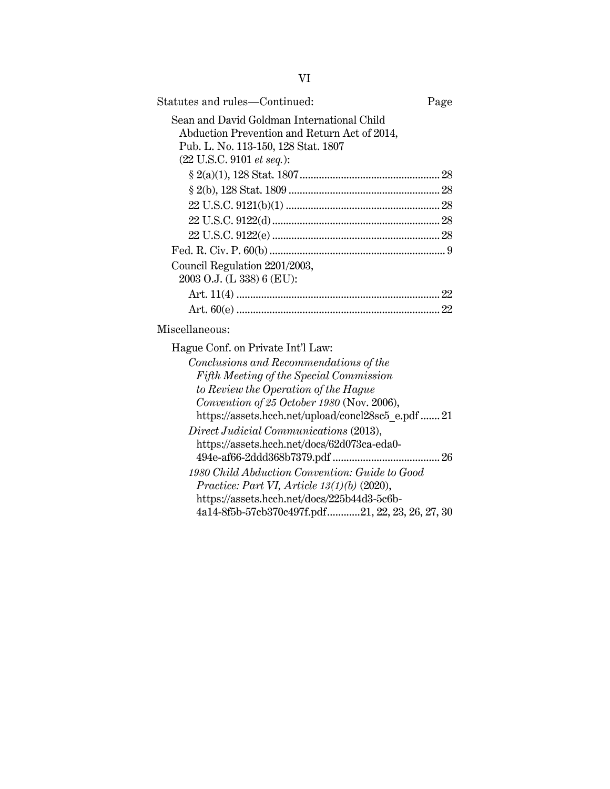| Statutes and rules-Continued:                      | Page |
|----------------------------------------------------|------|
|                                                    |      |
| Sean and David Goldman International Child         |      |
| Abduction Prevention and Return Act of 2014,       |      |
| Pub. L. No. 113-150, 128 Stat. 1807                |      |
| (22 U.S.C. 9101 et seq.):                          |      |
|                                                    |      |
|                                                    |      |
|                                                    |      |
|                                                    |      |
|                                                    |      |
|                                                    |      |
| Council Regulation 2201/2003,                      |      |
| 2003 O.J. (L 338) 6 (EU):                          |      |
|                                                    |      |
|                                                    |      |
| Miscellaneous:                                     |      |
| Hague Conf. on Private Int'l Law:                  |      |
| Conclusions and Recommendations of the             |      |
| Fifth Meeting of the Special Commission            |      |
| to Review the Operation of the Hague               |      |
| Convention of 25 October 1980 (Nov. 2006),         |      |
| https://assets.hcch.net/upload/concl28sc5 e.pdf 21 |      |
| Direct Judicial Communications (2013),             |      |
| https://assets.hcch.net/docs/62d073ca-eda0-        |      |
|                                                    |      |
| 1980 Child Abduction Convention: Guide to Good     |      |
| Practice: Part VI, Article $13(1)(b)$ (2020),      |      |
| https://assets.hcch.net/docs/225b44d3-5c6b-        |      |
| 4a14-8f5b-57cb370c497f.pdf21, 22, 23, 26, 27, 30   |      |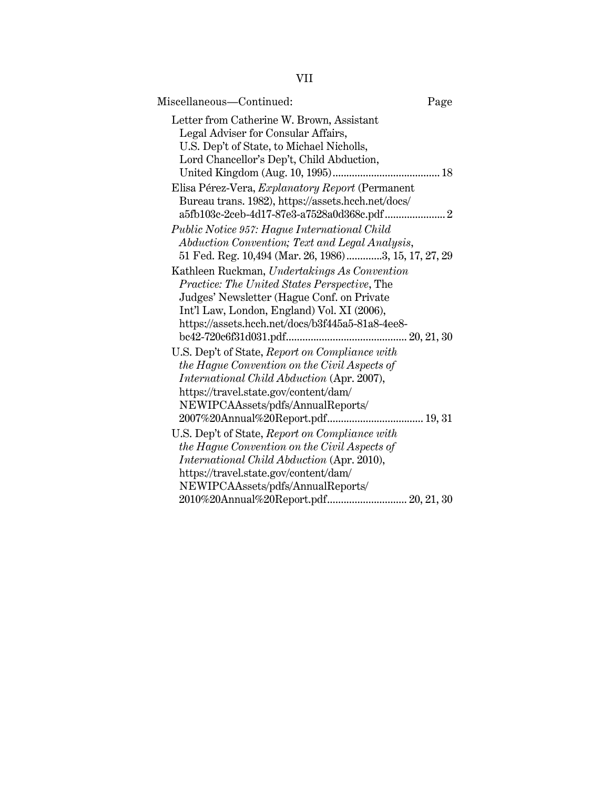| ×,<br>×, |
|----------|
|          |
|          |

| Miscellaneous—Continued:                                                         | Page |
|----------------------------------------------------------------------------------|------|
| Letter from Catherine W. Brown, Assistant<br>Legal Adviser for Consular Affairs, |      |
| U.S. Dep't of State, to Michael Nicholls,                                        |      |
| Lord Chancellor's Dep't, Child Abduction,                                        |      |
|                                                                                  |      |
| Elisa Pérez-Vera, Explanatory Report (Permanent                                  |      |
| Bureau trans. 1982), https://assets.hcch.net/docs/                               |      |
|                                                                                  |      |
| Public Notice 957: Hague International Child                                     |      |
| Abduction Convention; Text and Legal Analysis,                                   |      |
| 51 Fed. Reg. 10,494 (Mar. 26, 1986)3, 15, 17, 27, 29                             |      |
| Kathleen Ruckman, Undertakings As Convention                                     |      |
| Practice: The United States Perspective, The                                     |      |
| Judges' Newsletter (Hague Conf. on Private                                       |      |
| Int'l Law, London, England) Vol. XI (2006),                                      |      |
| https://assets.hcch.net/docs/b3f445a5-81a8-4ee8-                                 |      |
|                                                                                  |      |
| U.S. Dep't of State, Report on Compliance with                                   |      |
| the Hague Convention on the Civil Aspects of                                     |      |
| International Child Abduction (Apr. 2007),                                       |      |
| https://travel.state.gov/content/dam/                                            |      |
| NEWIPCAAssets/pdfs/AnnualReports/                                                |      |
|                                                                                  |      |
| U.S. Dep't of State, Report on Compliance with                                   |      |
| the Hague Convention on the Civil Aspects of                                     |      |
| <i>International Child Abduction (Apr. 2010),</i>                                |      |
| https://travel.state.gov/content/dam/                                            |      |
| NEWIPCAAssets/pdfs/AnnualReports/                                                |      |
| 2010%20Annual%20Report.pdf 20, 21, 30                                            |      |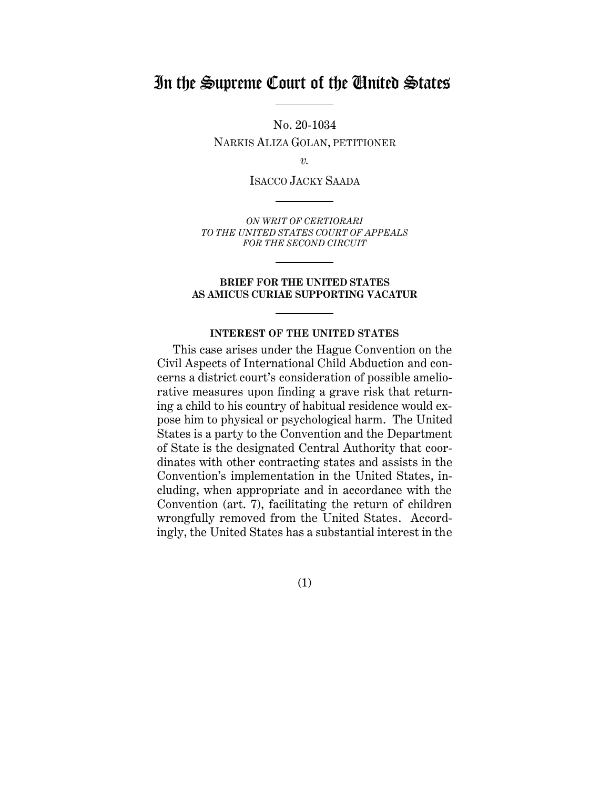## In the Supreme Court of the United States

No. 20-1034 NARKIS ALIZA GOLAN, PETITIONER

*v.*

ISACCO JACKY SAADA

*ON WRIT OF CERTIORARI TO THE UNITED STATES COURT OF APPEALS FOR THE SECOND CIRCUIT*

#### **BRIEF FOR THE UNITED STATES AS AMICUS CURIAE SUPPORTING VACATUR**

#### **INTEREST OF THE UNITED STATES**

<span id="page-7-0"></span>This case arises under the Hague Convention on the Civil Aspects of International Child Abduction and concerns a district court's consideration of possible ameliorative measures upon finding a grave risk that returning a child to his country of habitual residence would expose him to physical or psychological harm. The United States is a party to the Convention and the Department of State is the designated Central Authority that coordinates with other contracting states and assists in the Convention's implementation in the United States, including, when appropriate and in accordance with the Convention (art. 7), facilitating the return of children wrongfully removed from the United States. Accordingly, the United States has a substantial interest in the

(1)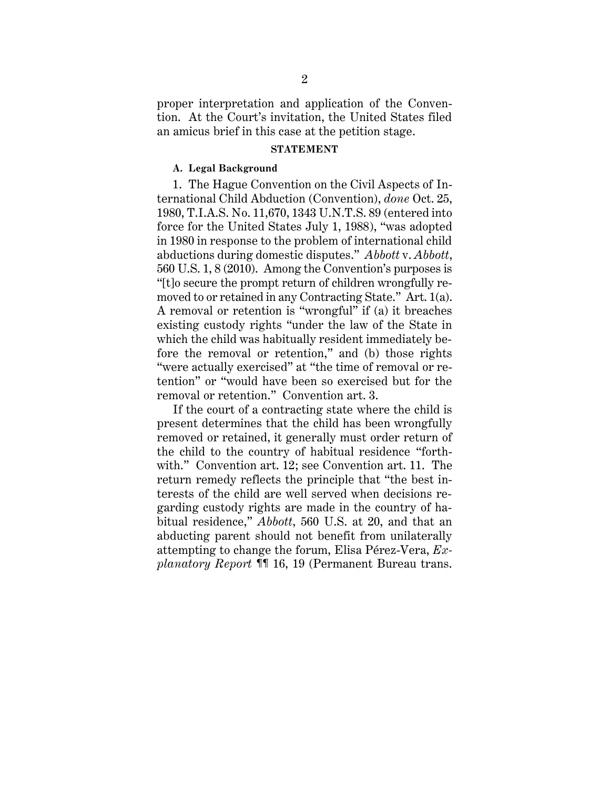proper interpretation and application of the Convention. At the Court's invitation, the United States filed an amicus brief in this case at the petition stage.

#### **STATEMENT**

#### <span id="page-8-1"></span><span id="page-8-0"></span>**A. Legal Background**

1. The Hague Convention on the Civil Aspects of International Child Abduction (Convention), *done* Oct. 25, 1980, T.I.A.S. No. 11,670, 1343 U.N.T.S. 89 (entered into force for the United States July 1, 1988), "was adopted in 1980 in response to the problem of international child abductions during domestic disputes." *Abbott* v. *Abbott*, 560 U.S. 1, 8 (2010). Among the Convention's purposes is "[t]o secure the prompt return of children wrongfully removed to or retained in any Contracting State." Art. 1(a). A removal or retention is "wrongful" if (a) it breaches existing custody rights "under the law of the State in which the child was habitually resident immediately before the removal or retention," and (b) those rights "were actually exercised" at "the time of removal or retention" or "would have been so exercised but for the removal or retention." Convention art. 3.

If the court of a contracting state where the child is present determines that the child has been wrongfully removed or retained, it generally must order return of the child to the country of habitual residence "forthwith." Convention art. 12; see Convention art. 11. The return remedy reflects the principle that "the best interests of the child are well served when decisions regarding custody rights are made in the country of habitual residence," *Abbott*, 560 U.S. at 20, and that an abducting parent should not benefit from unilaterally attempting to change the forum, Elisa Pérez-Vera, *Explanatory Report* ¶¶ 16, 19 (Permanent Bureau trans.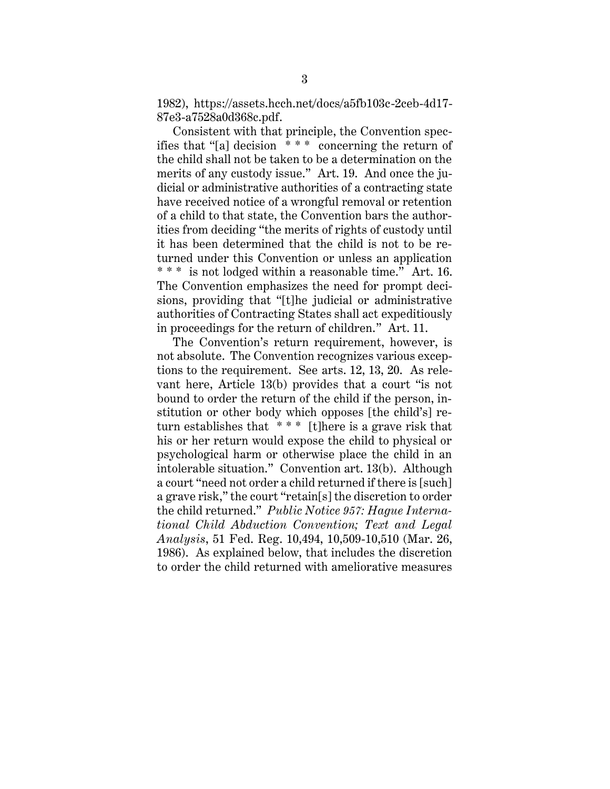1982), https://assets.hcch.net/docs/a5fb103c-2ceb-4d17- 87e3-a7528a0d368c.pdf.

Consistent with that principle, the Convention specifies that "[a] decision \* \* \* concerning the return of the child shall not be taken to be a determination on the merits of any custody issue." Art. 19. And once the judicial or administrative authorities of a contracting state have received notice of a wrongful removal or retention of a child to that state, the Convention bars the authorities from deciding "the merits of rights of custody until it has been determined that the child is not to be returned under this Convention or unless an application \* \* \* is not lodged within a reasonable time." Art. 16. The Convention emphasizes the need for prompt decisions, providing that "[t]he judicial or administrative authorities of Contracting States shall act expeditiously in proceedings for the return of children." Art. 11.

The Convention's return requirement, however, is not absolute. The Convention recognizes various exceptions to the requirement. See arts. 12, 13, 20. As relevant here, Article 13(b) provides that a court "is not bound to order the return of the child if the person, institution or other body which opposes [the child's] return establishes that \* \* \* [t]here is a grave risk that his or her return would expose the child to physical or psychological harm or otherwise place the child in an intolerable situation." Convention art. 13(b). Although a court "need not order a child returned if there is [such] a grave risk," the court "retain[s] the discretion to order the child returned." *Public Notice 957: Hague International Child Abduction Convention; Text and Legal Analysis*, 51 Fed. Reg. 10,494, 10,509-10,510 (Mar. 26, 1986). As explained below, that includes the discretion to order the child returned with ameliorative measures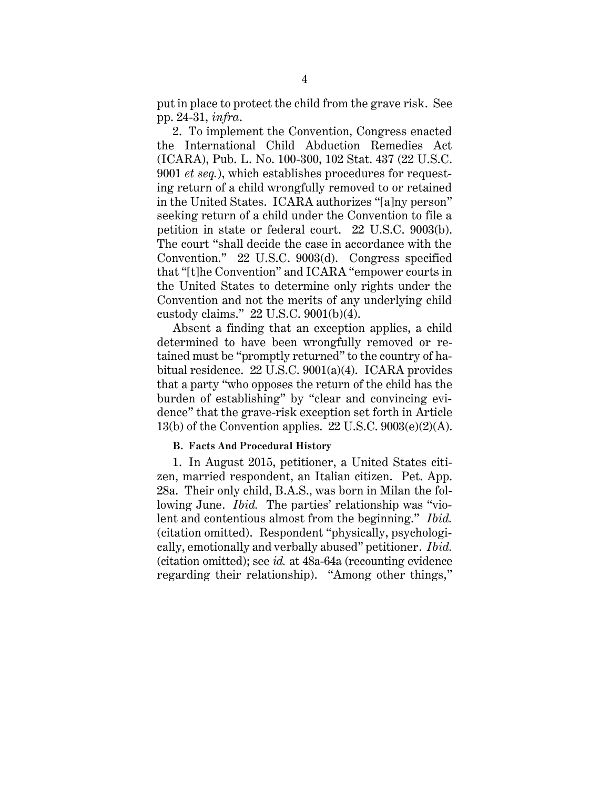put in place to protect the child from the grave risk. See pp. 24-31, *infra*.

2. To implement the Convention, Congress enacted the International Child Abduction Remedies Act (ICARA), Pub. L. No. 100-300, 102 Stat. 437 (22 U.S.C. 9001 *et seq.*), which establishes procedures for requesting return of a child wrongfully removed to or retained in the United States. ICARA authorizes "[a]ny person" seeking return of a child under the Convention to file a petition in state or federal court. 22 U.S.C. 9003(b). The court "shall decide the case in accordance with the Convention." 22 U.S.C. 9003(d). Congress specified that "[t]he Convention" and ICARA "empower courts in the United States to determine only rights under the Convention and not the merits of any underlying child custody claims." 22 U.S.C. 9001(b)(4).

Absent a finding that an exception applies, a child determined to have been wrongfully removed or retained must be "promptly returned" to the country of habitual residence. 22 U.S.C. 9001(a)(4). ICARA provides that a party "who opposes the return of the child has the burden of establishing" by "clear and convincing evidence" that the grave-risk exception set forth in Article 13(b) of the Convention applies.  $22 \text{ U.S.C. } 9003 \text{(e)} \text{(2)} \text{(A)}$ .

#### <span id="page-10-0"></span>**B. Facts And Procedural History**

1. In August 2015, petitioner, a United States citizen, married respondent, an Italian citizen. Pet. App. 28a. Their only child, B.A.S., was born in Milan the following June. *Ibid.* The parties' relationship was "violent and contentious almost from the beginning." *Ibid.*  (citation omitted). Respondent "physically, psychologically, emotionally and verbally abused" petitioner. *Ibid.*  (citation omitted); see *id.* at 48a-64a (recounting evidence regarding their relationship). "Among other things,"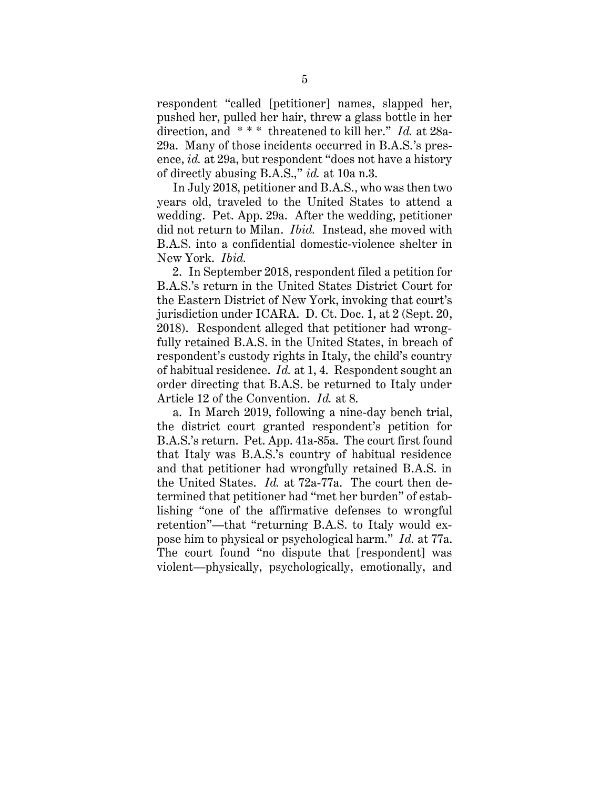respondent "called [petitioner] names, slapped her, pushed her, pulled her hair, threw a glass bottle in her direction, and \* \* \* threatened to kill her." *Id.* at 28a-29a. Many of those incidents occurred in B.A.S.'s presence, *id.* at 29a, but respondent "does not have a history of directly abusing B.A.S.," *id.* at 10a n.3.

In July 2018, petitioner and B.A.S., who was then two years old, traveled to the United States to attend a wedding. Pet. App. 29a. After the wedding, petitioner did not return to Milan. *Ibid.* Instead, she moved with B.A.S. into a confidential domestic-violence shelter in New York. *Ibid.*

2. In September 2018, respondent filed a petition for B.A.S.'s return in the United States District Court for the Eastern District of New York, invoking that court's jurisdiction under ICARA. D. Ct. Doc. 1, at 2 (Sept. 20, 2018). Respondent alleged that petitioner had wrongfully retained B.A.S. in the United States, in breach of respondent's custody rights in Italy, the child's country of habitual residence. *Id.* at 1, 4. Respondent sought an order directing that B.A.S. be returned to Italy under Article 12 of the Convention. *Id.* at 8.

a. In March 2019, following a nine-day bench trial, the district court granted respondent's petition for B.A.S.'s return. Pet. App. 41a-85a. The court first found that Italy was B.A.S.'s country of habitual residence and that petitioner had wrongfully retained B.A.S. in the United States. *Id.* at 72a-77a. The court then determined that petitioner had "met her burden" of establishing "one of the affirmative defenses to wrongful retention"—that "returning B.A.S. to Italy would expose him to physical or psychological harm." *Id.* at 77a. The court found "no dispute that [respondent] was violent—physically, psychologically, emotionally, and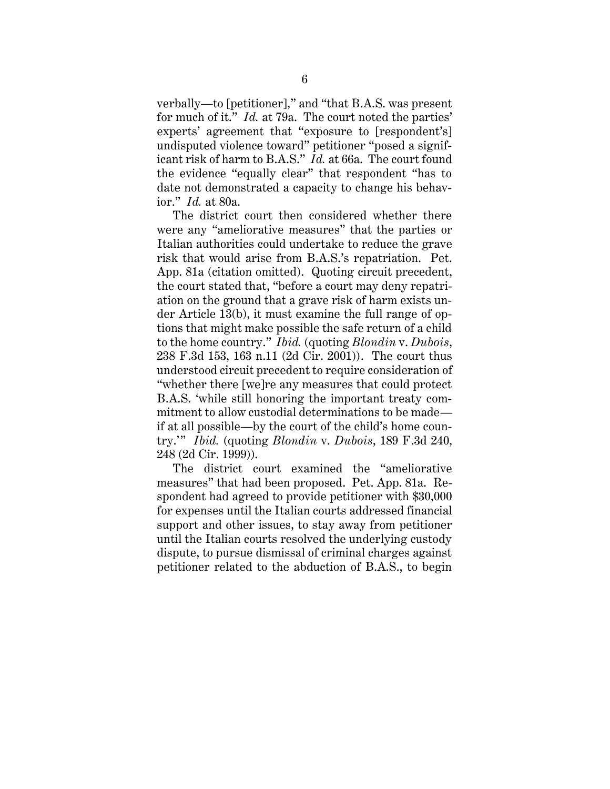verbally—to [petitioner]," and "that B.A.S. was present for much of it." *Id.* at 79a. The court noted the parties' experts' agreement that "exposure to [respondent's] undisputed violence toward" petitioner "posed a significant risk of harm to B.A.S." *Id.* at 66a. The court found the evidence "equally clear" that respondent "has to date not demonstrated a capacity to change his behavior." *Id.* at 80a.

The district court then considered whether there were any "ameliorative measures" that the parties or Italian authorities could undertake to reduce the grave risk that would arise from B.A.S.'s repatriation. Pet. App. 81a (citation omitted). Quoting circuit precedent, the court stated that, "before a court may deny repatriation on the ground that a grave risk of harm exists under Article 13(b), it must examine the full range of options that might make possible the safe return of a child to the home country." *Ibid.* (quoting *Blondin* v. *Dubois*, 238 F.3d 153, 163 n.11 (2d Cir. 2001)). The court thus understood circuit precedent to require consideration of "whether there [we]re any measures that could protect B.A.S. 'while still honoring the important treaty commitment to allow custodial determinations to be made if at all possible—by the court of the child's home country.'" *Ibid.* (quoting *Blondin* v. *Dubois*, 189 F.3d 240, 248 (2d Cir. 1999)).

The district court examined the "ameliorative measures" that had been proposed. Pet. App. 81a. Respondent had agreed to provide petitioner with \$30,000 for expenses until the Italian courts addressed financial support and other issues, to stay away from petitioner until the Italian courts resolved the underlying custody dispute, to pursue dismissal of criminal charges against petitioner related to the abduction of B.A.S., to begin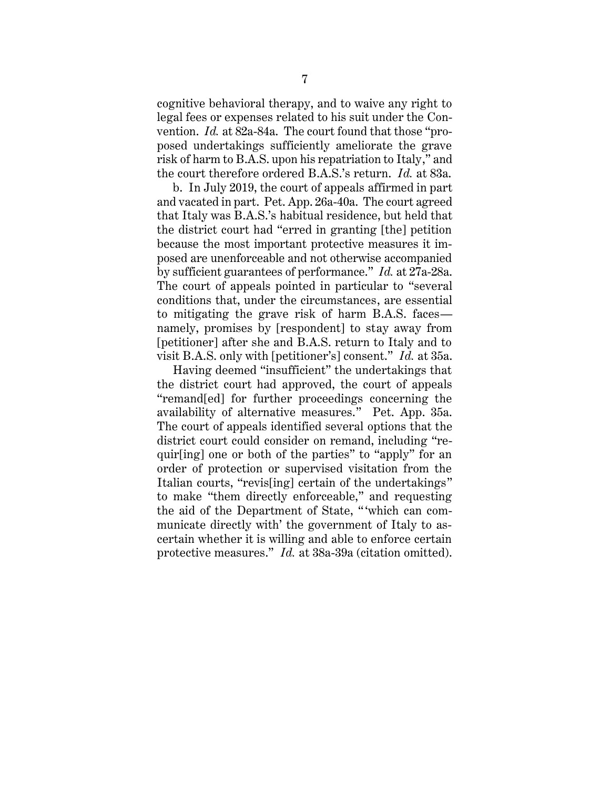cognitive behavioral therapy, and to waive any right to legal fees or expenses related to his suit under the Convention. *Id.* at 82a-84a. The court found that those "proposed undertakings sufficiently ameliorate the grave risk of harm to B.A.S. upon his repatriation to Italy," and the court therefore ordered B.A.S.'s return. *Id.* at 83a.

b. In July 2019, the court of appeals affirmed in part and vacated in part. Pet. App. 26a-40a. The court agreed that Italy was B.A.S.'s habitual residence, but held that the district court had "erred in granting [the] petition because the most important protective measures it imposed are unenforceable and not otherwise accompanied by sufficient guarantees of performance." *Id.* at 27a-28a. The court of appeals pointed in particular to "several conditions that, under the circumstances, are essential to mitigating the grave risk of harm B.A.S. faces namely, promises by [respondent] to stay away from [petitioner] after she and B.A.S. return to Italy and to visit B.A.S. only with [petitioner's] consent." *Id.* at 35a.

Having deemed "insufficient" the undertakings that the district court had approved, the court of appeals "remand[ed] for further proceedings concerning the availability of alternative measures." Pet. App. 35a. The court of appeals identified several options that the district court could consider on remand, including "requir[ing] one or both of the parties" to "apply" for an order of protection or supervised visitation from the Italian courts, "revis[ing] certain of the undertakings" to make "them directly enforceable," and requesting the aid of the Department of State, " 'which can communicate directly with' the government of Italy to ascertain whether it is willing and able to enforce certain protective measures." *Id.* at 38a-39a (citation omitted).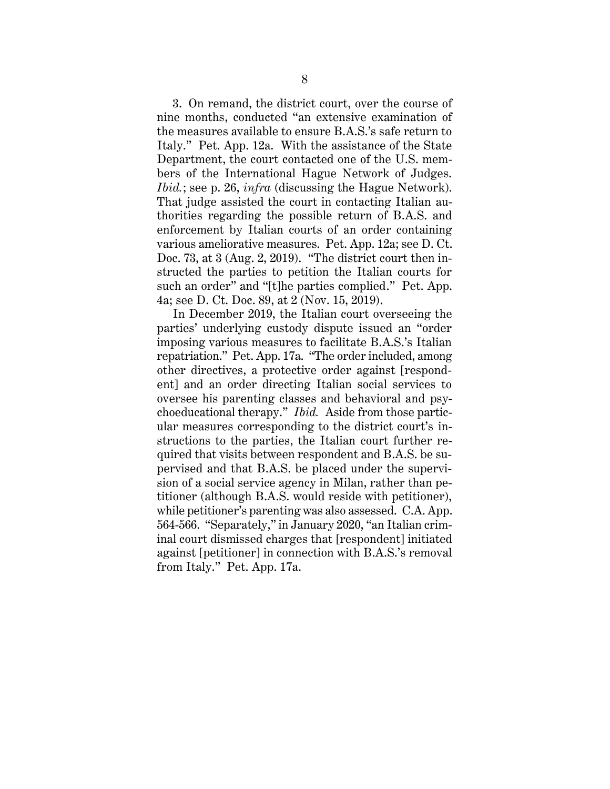3. On remand, the district court, over the course of nine months, conducted "an extensive examination of the measures available to ensure B.A.S.'s safe return to Italy." Pet. App. 12a. With the assistance of the State Department, the court contacted one of the U.S. members of the International Hague Network of Judges. *Ibid.*; see p. 26, *infra* (discussing the Hague Network). That judge assisted the court in contacting Italian authorities regarding the possible return of B.A.S. and enforcement by Italian courts of an order containing various ameliorative measures. Pet. App. 12a; see D. Ct. Doc. 73, at 3 (Aug. 2, 2019). "The district court then instructed the parties to petition the Italian courts for such an order" and "[t]he parties complied." Pet. App. 4a; see D. Ct. Doc. 89, at 2 (Nov. 15, 2019).

In December 2019, the Italian court overseeing the parties' underlying custody dispute issued an "order imposing various measures to facilitate B.A.S.'s Italian repatriation." Pet. App. 17a. "The order included, among other directives, a protective order against [respondent] and an order directing Italian social services to oversee his parenting classes and behavioral and psychoeducational therapy." *Ibid.* Aside from those particular measures corresponding to the district court's instructions to the parties, the Italian court further required that visits between respondent and B.A.S. be supervised and that B.A.S. be placed under the supervision of a social service agency in Milan, rather than petitioner (although B.A.S. would reside with petitioner), while petitioner's parenting was also assessed. C.A. App. 564-566. "Separately," in January 2020, "an Italian criminal court dismissed charges that [respondent] initiated against [petitioner] in connection with B.A.S.'s removal from Italy." Pet. App. 17a.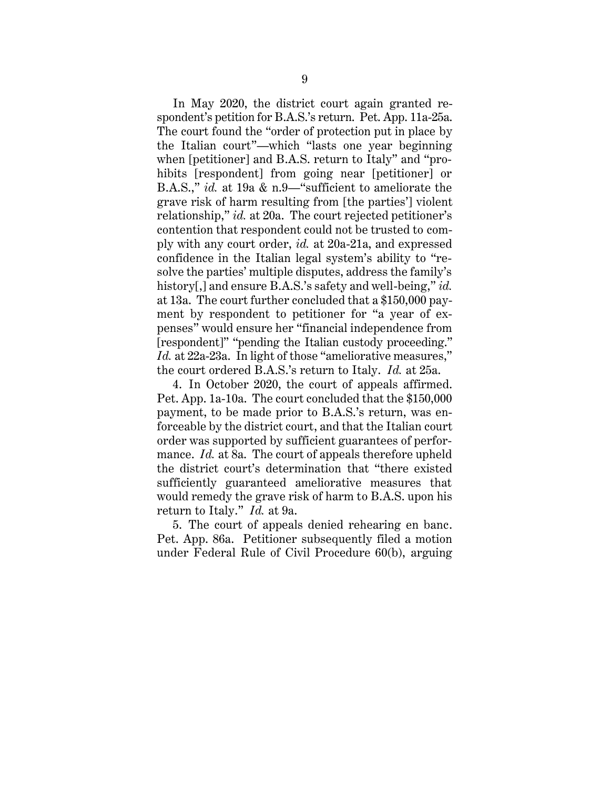In May 2020, the district court again granted respondent's petition for B.A.S.'s return. Pet. App. 11a-25a. The court found the "order of protection put in place by the Italian court"—which "lasts one year beginning when [petitioner] and B.A.S. return to Italy" and "prohibits [respondent] from going near [petitioner] or B.A.S.," *id.* at 19a & n.9—"sufficient to ameliorate the grave risk of harm resulting from [the parties'] violent relationship," *id.* at 20a. The court rejected petitioner's contention that respondent could not be trusted to comply with any court order, *id.* at 20a-21a, and expressed confidence in the Italian legal system's ability to "resolve the parties' multiple disputes, address the family's history[,] and ensure B.A.S.'s safety and well-being," *id.* at 13a. The court further concluded that a \$150,000 payment by respondent to petitioner for "a year of expenses" would ensure her "financial independence from [respondent]" "pending the Italian custody proceeding." *Id.* at 22a-23a. In light of those "ameliorative measures," the court ordered B.A.S.'s return to Italy. *Id.* at 25a.

4. In October 2020, the court of appeals affirmed. Pet. App. 1a-10a. The court concluded that the \$150,000 payment, to be made prior to B.A.S.'s return, was enforceable by the district court, and that the Italian court order was supported by sufficient guarantees of performance. *Id.* at 8a. The court of appeals therefore upheld the district court's determination that "there existed sufficiently guaranteed ameliorative measures that would remedy the grave risk of harm to B.A.S. upon his return to Italy." *Id.* at 9a.

5. The court of appeals denied rehearing en banc. Pet. App. 86a. Petitioner subsequently filed a motion under Federal Rule of Civil Procedure 60(b), arguing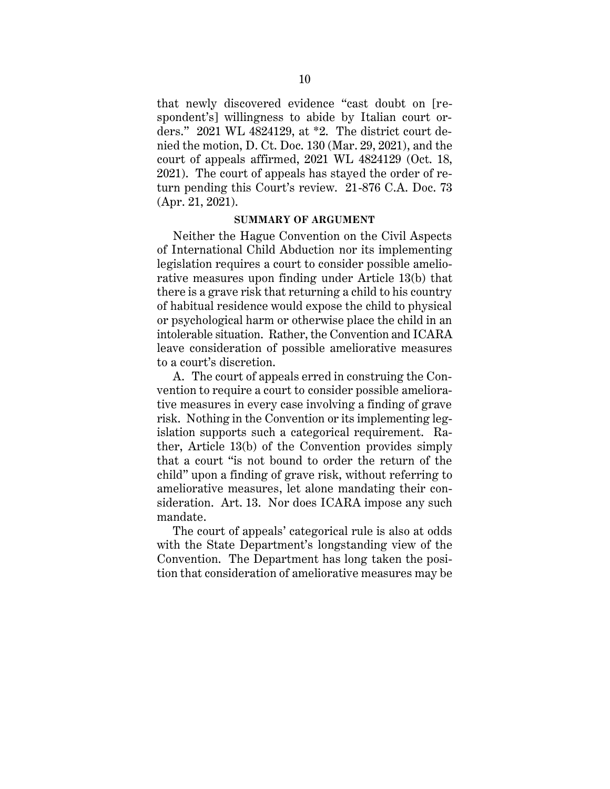that newly discovered evidence "cast doubt on [respondent's] willingness to abide by Italian court orders." 2021 WL 4824129, at \*2. The district court denied the motion, D. Ct. Doc. 130 (Mar. 29, 2021), and the court of appeals affirmed, 2021 WL 4824129 (Oct. 18, 2021). The court of appeals has stayed the order of return pending this Court's review. 21-876 C.A. Doc. 73 (Apr. 21, 2021).

#### **SUMMARY OF ARGUMENT**

<span id="page-16-0"></span>Neither the Hague Convention on the Civil Aspects of International Child Abduction nor its implementing legislation requires a court to consider possible ameliorative measures upon finding under Article 13(b) that there is a grave risk that returning a child to his country of habitual residence would expose the child to physical or psychological harm or otherwise place the child in an intolerable situation. Rather, the Convention and ICARA leave consideration of possible ameliorative measures to a court's discretion.

A. The court of appeals erred in construing the Convention to require a court to consider possible ameliorative measures in every case involving a finding of grave risk. Nothing in the Convention or its implementing legislation supports such a categorical requirement. Rather, Article 13(b) of the Convention provides simply that a court "is not bound to order the return of the child" upon a finding of grave risk, without referring to ameliorative measures, let alone mandating their consideration. Art. 13. Nor does ICARA impose any such mandate.

The court of appeals' categorical rule is also at odds with the State Department's longstanding view of the Convention. The Department has long taken the position that consideration of ameliorative measures may be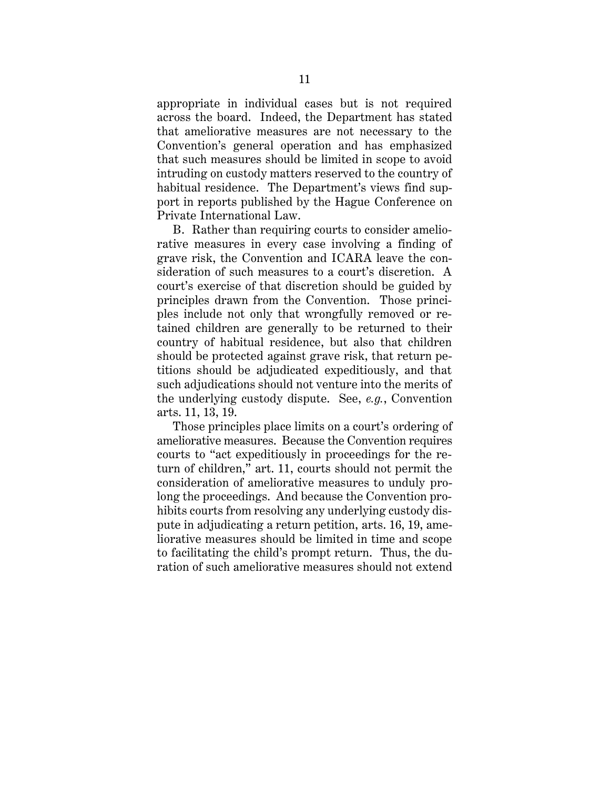appropriate in individual cases but is not required across the board. Indeed, the Department has stated that ameliorative measures are not necessary to the Convention's general operation and has emphasized that such measures should be limited in scope to avoid intruding on custody matters reserved to the country of habitual residence. The Department's views find support in reports published by the Hague Conference on Private International Law.

B. Rather than requiring courts to consider ameliorative measures in every case involving a finding of grave risk, the Convention and ICARA leave the consideration of such measures to a court's discretion. A court's exercise of that discretion should be guided by principles drawn from the Convention. Those principles include not only that wrongfully removed or retained children are generally to be returned to their country of habitual residence, but also that children should be protected against grave risk, that return petitions should be adjudicated expeditiously, and that such adjudications should not venture into the merits of the underlying custody dispute. See, *e.g.*, Convention arts. 11, 13, 19.

Those principles place limits on a court's ordering of ameliorative measures. Because the Convention requires courts to "act expeditiously in proceedings for the return of children," art. 11, courts should not permit the consideration of ameliorative measures to unduly prolong the proceedings. And because the Convention prohibits courts from resolving any underlying custody dispute in adjudicating a return petition, arts. 16, 19, ameliorative measures should be limited in time and scope to facilitating the child's prompt return. Thus, the duration of such ameliorative measures should not extend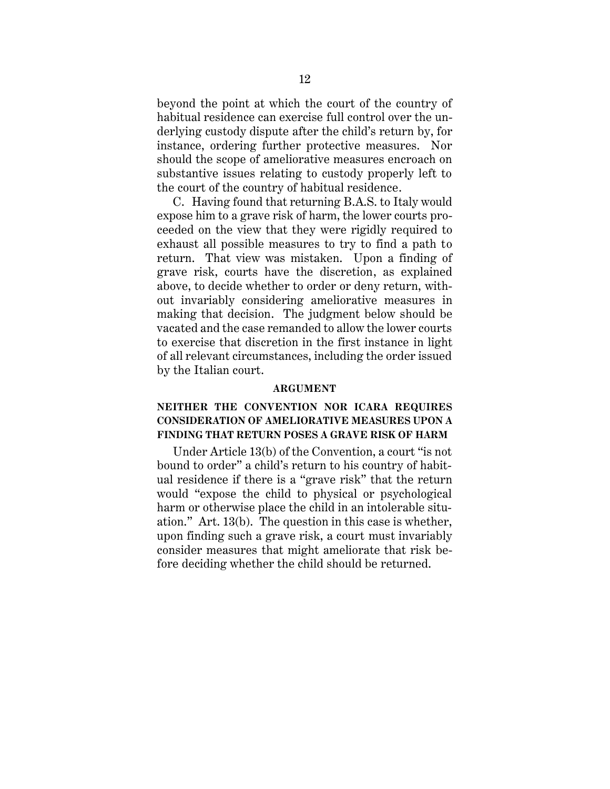beyond the point at which the court of the country of habitual residence can exercise full control over the underlying custody dispute after the child's return by, for instance, ordering further protective measures. Nor should the scope of ameliorative measures encroach on substantive issues relating to custody properly left to the court of the country of habitual residence.

C. Having found that returning B.A.S. to Italy would expose him to a grave risk of harm, the lower courts proceeded on the view that they were rigidly required to exhaust all possible measures to try to find a path to return. That view was mistaken. Upon a finding of grave risk, courts have the discretion, as explained above, to decide whether to order or deny return, without invariably considering ameliorative measures in making that decision. The judgment below should be vacated and the case remanded to allow the lower courts to exercise that discretion in the first instance in light of all relevant circumstances, including the order issued by the Italian court.

#### **ARGUMENT**

## <span id="page-18-1"></span><span id="page-18-0"></span>**NEITHER THE CONVENTION NOR ICARA REQUIRES CONSIDERATION OF AMELIORATIVE MEASURES UPON A FINDING THAT RETURN POSES A GRAVE RISK OF HARM**

Under Article 13(b) of the Convention, a court "is not bound to order" a child's return to his country of habitual residence if there is a "grave risk" that the return would "expose the child to physical or psychological harm or otherwise place the child in an intolerable situation." Art. 13(b). The question in this case is whether, upon finding such a grave risk, a court must invariably consider measures that might ameliorate that risk before deciding whether the child should be returned.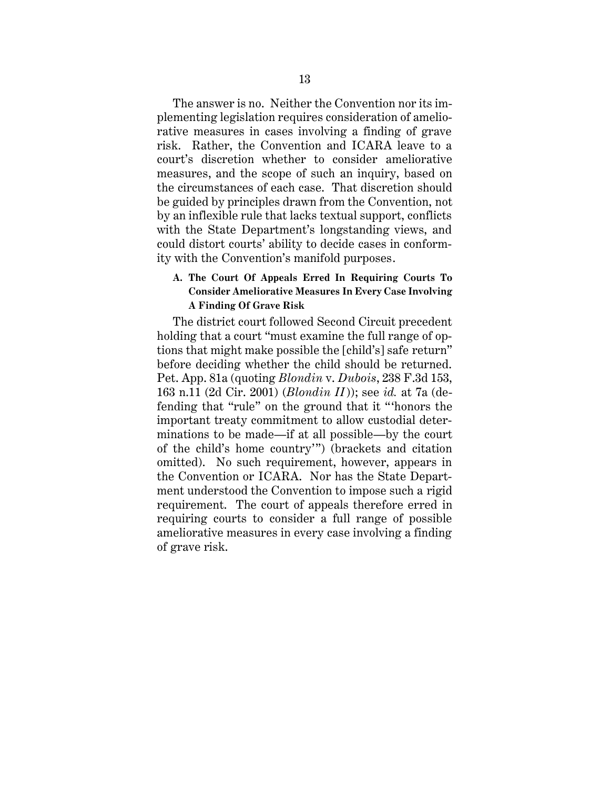The answer is no. Neither the Convention nor its implementing legislation requires consideration of ameliorative measures in cases involving a finding of grave risk. Rather, the Convention and ICARA leave to a court's discretion whether to consider ameliorative measures, and the scope of such an inquiry, based on the circumstances of each case. That discretion should be guided by principles drawn from the Convention, not by an inflexible rule that lacks textual support, conflicts with the State Department's longstanding views, and could distort courts' ability to decide cases in conformity with the Convention's manifold purposes.

## <span id="page-19-0"></span>**A. The Court Of Appeals Erred In Requiring Courts To Consider Ameliorative Measures In Every Case Involving A Finding Of Grave Risk**

The district court followed Second Circuit precedent holding that a court "must examine the full range of options that might make possible the [child's] safe return" before deciding whether the child should be returned. Pet. App. 81a (quoting *Blondin* v. *Dubois*, 238 F.3d 153, 163 n.11 (2d Cir. 2001) (*Blondin II*)); see *id.* at 7a (defending that "rule" on the ground that it " 'honors the important treaty commitment to allow custodial determinations to be made—if at all possible—by the court of the child's home country'") (brackets and citation omitted). No such requirement, however, appears in the Convention or ICARA. Nor has the State Department understood the Convention to impose such a rigid requirement. The court of appeals therefore erred in requiring courts to consider a full range of possible ameliorative measures in every case involving a finding of grave risk.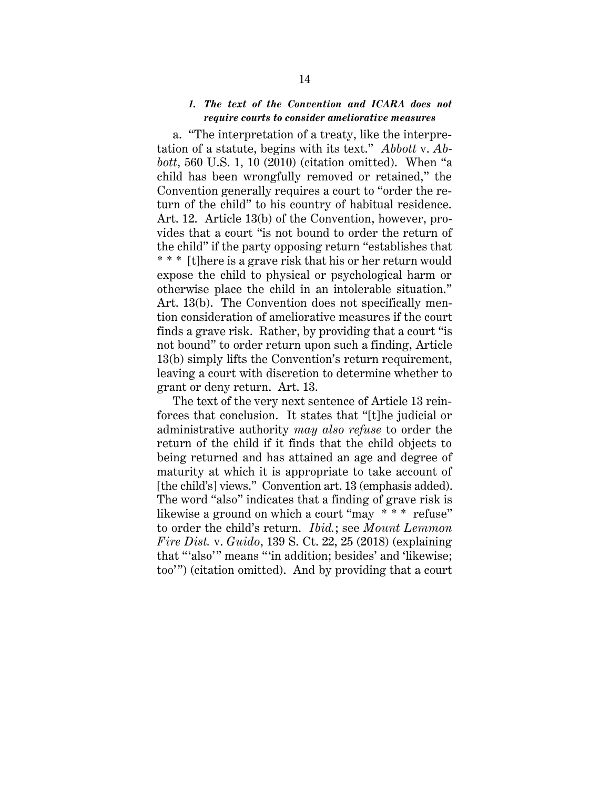## *1. The text of the Convention and ICARA does not require courts to consider ameliorative measures*

<span id="page-20-0"></span>a. "The interpretation of a treaty, like the interpretation of a statute, begins with its text." *Abbott* v. *Abbott*, 560 U.S. 1, 10 (2010) (citation omitted). When "a child has been wrongfully removed or retained," the Convention generally requires a court to "order the return of the child" to his country of habitual residence. Art. 12. Article 13(b) of the Convention, however, provides that a court "is not bound to order the return of the child" if the party opposing return "establishes that \* \* \* [t]here is a grave risk that his or her return would expose the child to physical or psychological harm or otherwise place the child in an intolerable situation." Art. 13(b). The Convention does not specifically mention consideration of ameliorative measures if the court finds a grave risk. Rather, by providing that a court "is not bound" to order return upon such a finding, Article 13(b) simply lifts the Convention's return requirement, leaving a court with discretion to determine whether to grant or deny return. Art. 13.

The text of the very next sentence of Article 13 reinforces that conclusion. It states that "[t]he judicial or administrative authority *may also refuse* to order the return of the child if it finds that the child objects to being returned and has attained an age and degree of maturity at which it is appropriate to take account of [the child's] views." Convention art. 13 (emphasis added). The word "also" indicates that a finding of grave risk is likewise a ground on which a court "may \* \* \* refuse" to order the child's return. *Ibid.*; see *Mount Lemmon Fire Dist.* v. *Guido*, 139 S. Ct. 22, 25 (2018) (explaining that "'also'" means "'in addition; besides' and 'likewise; too'") (citation omitted). And by providing that a court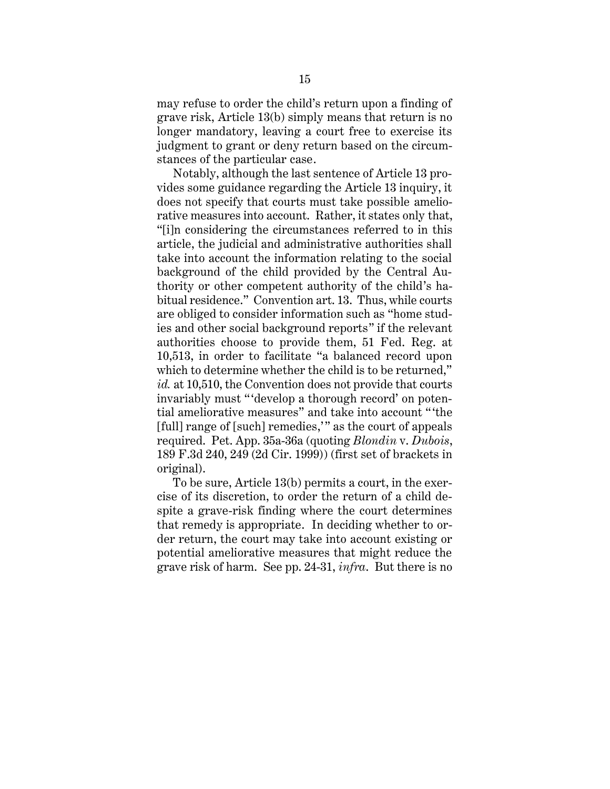may refuse to order the child's return upon a finding of grave risk, Article 13(b) simply means that return is no longer mandatory, leaving a court free to exercise its judgment to grant or deny return based on the circumstances of the particular case.

Notably, although the last sentence of Article 13 provides some guidance regarding the Article 13 inquiry, it does not specify that courts must take possible ameliorative measures into account. Rather, it states only that, "[i]n considering the circumstances referred to in this article, the judicial and administrative authorities shall take into account the information relating to the social background of the child provided by the Central Authority or other competent authority of the child's habitual residence." Convention art. 13. Thus, while courts are obliged to consider information such as "home studies and other social background reports" if the relevant authorities choose to provide them, 51 Fed. Reg. at 10,513, in order to facilitate "a balanced record upon which to determine whether the child is to be returned," *id.* at 10,510, the Convention does not provide that courts invariably must "'develop a thorough record' on potential ameliorative measures" and take into account " 'the [full] range of [such] remedies," as the court of appeals required. Pet. App. 35a-36a (quoting *Blondin* v. *Dubois*, 189 F.3d 240, 249 (2d Cir. 1999)) (first set of brackets in original).

To be sure, Article 13(b) permits a court, in the exercise of its discretion, to order the return of a child despite a grave-risk finding where the court determines that remedy is appropriate. In deciding whether to order return, the court may take into account existing or potential ameliorative measures that might reduce the grave risk of harm. See pp. 24-31, *infra*. But there is no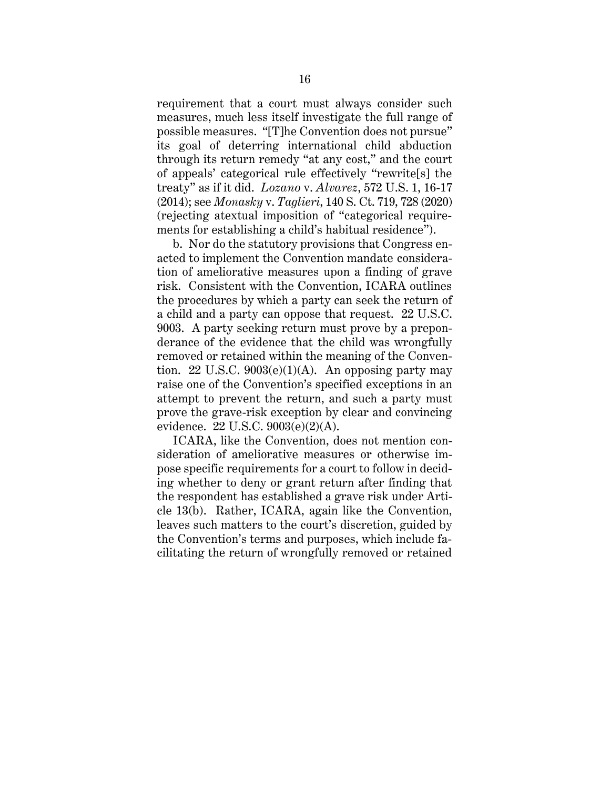requirement that a court must always consider such measures, much less itself investigate the full range of possible measures. "[T]he Convention does not pursue" its goal of deterring international child abduction through its return remedy "at any cost," and the court of appeals' categorical rule effectively "rewrite[s] the treaty" as if it did. *Lozano* v. *Alvarez*, 572 U.S. 1, 16-17 (2014); see *Monasky* v. *Taglieri*, 140 S. Ct. 719, 728 (2020) (rejecting atextual imposition of "categorical requirements for establishing a child's habitual residence").

b. Nor do the statutory provisions that Congress enacted to implement the Convention mandate consideration of ameliorative measures upon a finding of grave risk. Consistent with the Convention, ICARA outlines the procedures by which a party can seek the return of a child and a party can oppose that request. 22 U.S.C. 9003. A party seeking return must prove by a preponderance of the evidence that the child was wrongfully removed or retained within the meaning of the Convention. 22 U.S.C.  $9003(e)(1)(A)$ . An opposing party may raise one of the Convention's specified exceptions in an attempt to prevent the return, and such a party must prove the grave-risk exception by clear and convincing evidence. 22 U.S.C. 9003(e)(2)(A).

ICARA, like the Convention, does not mention consideration of ameliorative measures or otherwise impose specific requirements for a court to follow in deciding whether to deny or grant return after finding that the respondent has established a grave risk under Article 13(b). Rather, ICARA, again like the Convention, leaves such matters to the court's discretion, guided by the Convention's terms and purposes, which include facilitating the return of wrongfully removed or retained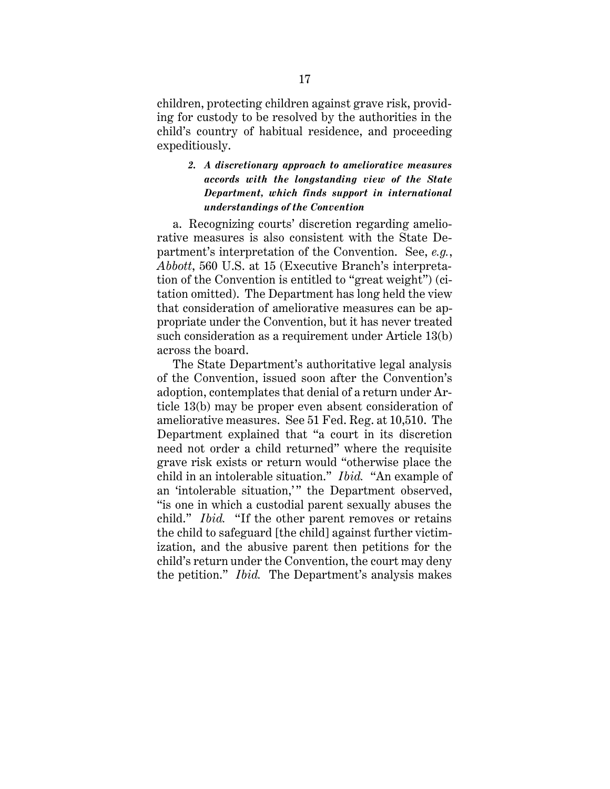children, protecting children against grave risk, providing for custody to be resolved by the authorities in the child's country of habitual residence, and proceeding expeditiously.

## <span id="page-23-0"></span>*2. A discretionary approach to ameliorative measures accords with the longstanding view of the State Department, which finds support in international understandings of the Convention*

a. Recognizing courts' discretion regarding ameliorative measures is also consistent with the State Department's interpretation of the Convention. See, *e.g.*, *Abbott*, 560 U.S. at 15 (Executive Branch's interpretation of the Convention is entitled to "great weight") (citation omitted). The Department has long held the view that consideration of ameliorative measures can be appropriate under the Convention, but it has never treated such consideration as a requirement under Article 13(b) across the board.

The State Department's authoritative legal analysis of the Convention, issued soon after the Convention's adoption, contemplates that denial of a return under Article 13(b) may be proper even absent consideration of ameliorative measures. See 51 Fed. Reg. at 10,510. The Department explained that "a court in its discretion need not order a child returned" where the requisite grave risk exists or return would "otherwise place the child in an intolerable situation." *Ibid.* "An example of an 'intolerable situation,'" the Department observed, "is one in which a custodial parent sexually abuses the child." *Ibid.* "If the other parent removes or retains the child to safeguard [the child] against further victimization, and the abusive parent then petitions for the child's return under the Convention, the court may deny the petition." *Ibid.* The Department's analysis makes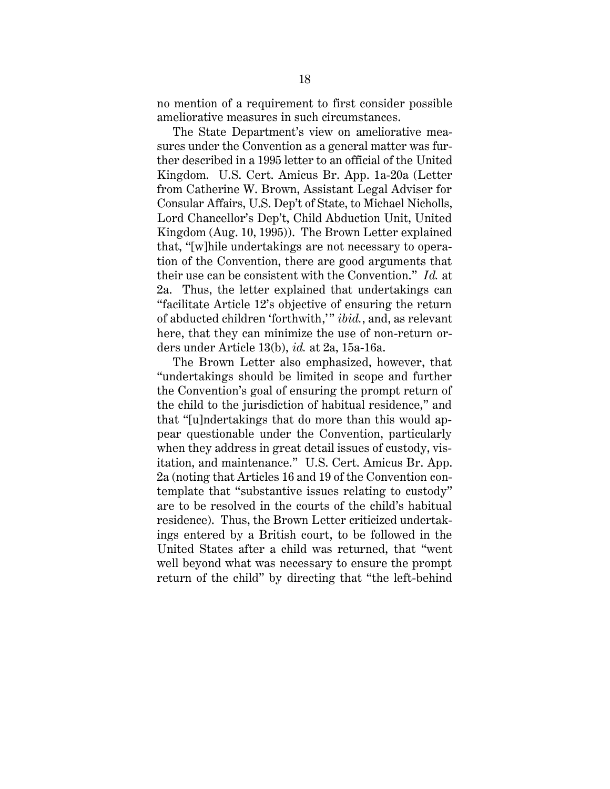no mention of a requirement to first consider possible ameliorative measures in such circumstances.

The State Department's view on ameliorative measures under the Convention as a general matter was further described in a 1995 letter to an official of the United Kingdom. U.S. Cert. Amicus Br. App. 1a-20a (Letter from Catherine W. Brown, Assistant Legal Adviser for Consular Affairs, U.S. Dep't of State, to Michael Nicholls, Lord Chancellor's Dep't, Child Abduction Unit, United Kingdom (Aug. 10, 1995)). The Brown Letter explained that, "[w]hile undertakings are not necessary to operation of the Convention, there are good arguments that their use can be consistent with the Convention." *Id.* at 2a. Thus, the letter explained that undertakings can "facilitate Article 12's objective of ensuring the return of abducted children 'forthwith,' " *ibid.*, and, as relevant here, that they can minimize the use of non-return orders under Article 13(b), *id.* at 2a, 15a-16a.

The Brown Letter also emphasized, however, that "undertakings should be limited in scope and further the Convention's goal of ensuring the prompt return of the child to the jurisdiction of habitual residence," and that "[u]ndertakings that do more than this would appear questionable under the Convention, particularly when they address in great detail issues of custody, visitation, and maintenance." U.S. Cert. Amicus Br. App. 2a (noting that Articles 16 and 19 of the Convention contemplate that "substantive issues relating to custody" are to be resolved in the courts of the child's habitual residence). Thus, the Brown Letter criticized undertakings entered by a British court, to be followed in the United States after a child was returned, that "went well beyond what was necessary to ensure the prompt return of the child" by directing that "the left-behind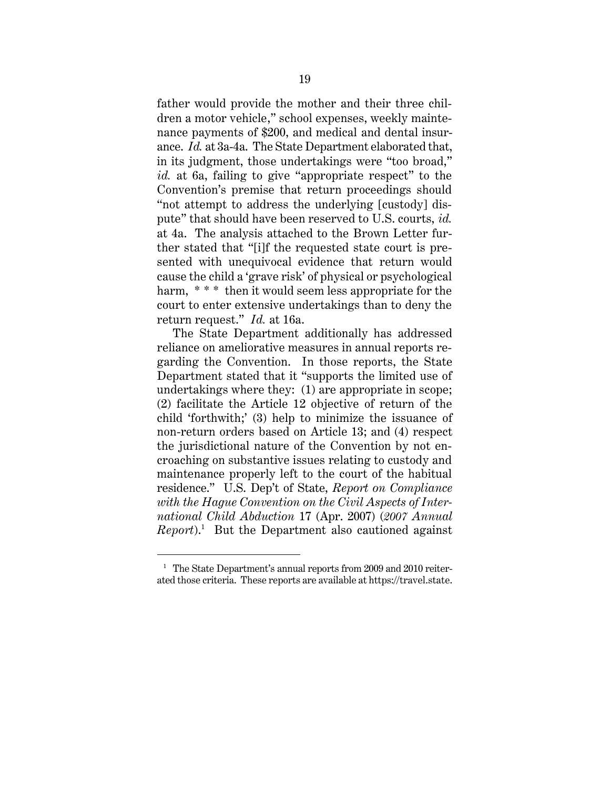father would provide the mother and their three children a motor vehicle," school expenses, weekly maintenance payments of \$200, and medical and dental insurance. *Id.* at 3a-4a. The State Department elaborated that, in its judgment, those undertakings were "too broad," *id.* at 6a, failing to give "appropriate respect" to the Convention's premise that return proceedings should "not attempt to address the underlying [custody] dispute" that should have been reserved to U.S. courts, *id.* at 4a. The analysis attached to the Brown Letter further stated that "[i]f the requested state court is presented with unequivocal evidence that return would cause the child a 'grave risk' of physical or psychological harm, \*\*\* then it would seem less appropriate for the court to enter extensive undertakings than to deny the return request." *Id.* at 16a.

The State Department additionally has addressed reliance on ameliorative measures in annual reports regarding the Convention. In those reports, the State Department stated that it "supports the limited use of undertakings where they: (1) are appropriate in scope; (2) facilitate the Article 12 objective of return of the child 'forthwith;' (3) help to minimize the issuance of non-return orders based on Article 13; and (4) respect the jurisdictional nature of the Convention by not encroaching on substantive issues relating to custody and maintenance properly left to the court of the habitual residence." U.S. Dep't of State, *Report on Compliance with the Hague Convention on the Civil Aspects of International Child Abduction* 17 (Apr. 2007) (*2007 Annual Report*).<sup>1</sup> But the Department also cautioned against

<sup>&</sup>lt;sup>1</sup> The State Department's annual reports from 2009 and 2010 reiterated those criteria. These reports are available at https://travel.state.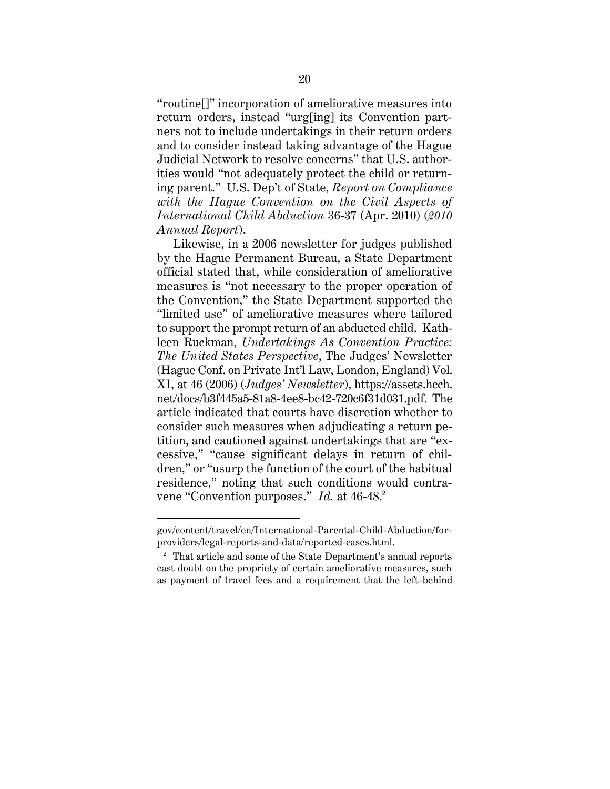"routine[]" incorporation of ameliorative measures into return orders, instead "urg[ing] its Convention partners not to include undertakings in their return orders and to consider instead taking advantage of the Hague Judicial Network to resolve concerns" that U.S. authorities would "not adequately protect the child or returning parent." U.S. Dep't of State, *Report on Compliance with the Hague Convention on the Civil Aspects of International Child Abduction* 36-37 (Apr. 2010) (*2010 Annual Report*).

Likewise, in a 2006 newsletter for judges published by the Hague Permanent Bureau, a State Department official stated that, while consideration of ameliorative measures is "not necessary to the proper operation of the Convention," the State Department supported the "limited use" of ameliorative measures where tailored to support the prompt return of an abducted child. Kathleen Ruckman, *Undertakings As Convention Practice: The United States Perspective*, The Judges' Newsletter (Hague Conf. on Private Int'l Law, London, England) Vol. XI, at 46 (2006) (*Judges' Newsletter*), https://assets.hcch. net/docs/b3f445a5-81a8-4ee8-bc42-720c6f31d031.pdf. The article indicated that courts have discretion whether to consider such measures when adjudicating a return petition, and cautioned against undertakings that are "excessive," "cause significant delays in return of children," or "usurp the function of the court of the habitual residence," noting that such conditions would contravene "Convention purposes." *Id.* at 46-48. 2

gov/content/travel/en/International-Parental-Child-Abduction/forproviders/legal-reports-and-data/reported-cases.html.

<sup>2</sup> That article and some of the State Department's annual reports cast doubt on the propriety of certain ameliorative measures, such as payment of travel fees and a requirement that the left-behind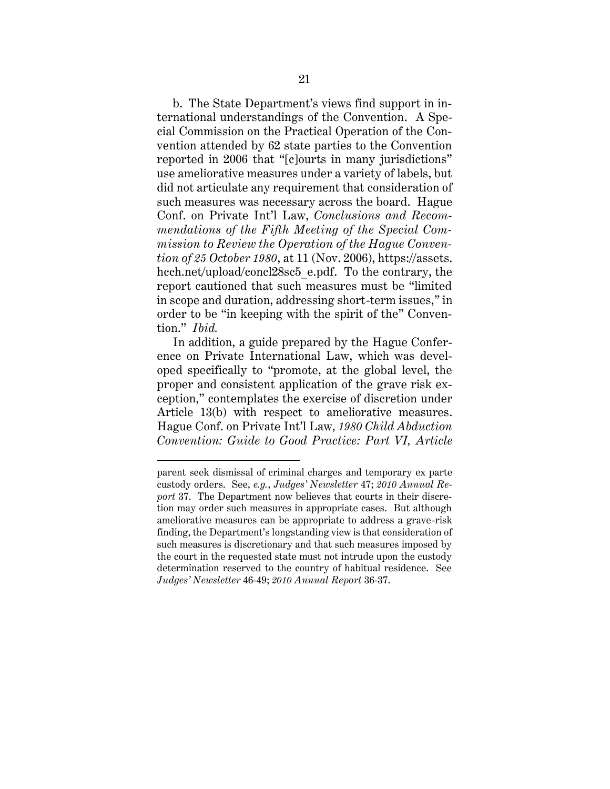b. The State Department's views find support in international understandings of the Convention. A Special Commission on the Practical Operation of the Convention attended by 62 state parties to the Convention reported in 2006 that "[c]ourts in many jurisdictions" use ameliorative measures under a variety of labels, but did not articulate any requirement that consideration of such measures was necessary across the board. Hague Conf. on Private Int'l Law, *Conclusions and Recommendations of the Fifth Meeting of the Special Commission to Review the Operation of the Hague Convention of 25 October 1980*, at 11 (Nov. 2006), https://assets. hcch.net/upload/concl28sc5\_e.pdf. To the contrary, the report cautioned that such measures must be "limited in scope and duration, addressing short-term issues," in order to be "in keeping with the spirit of the" Convention." *Ibid.*

In addition, a guide prepared by the Hague Conference on Private International Law, which was developed specifically to "promote, at the global level, the proper and consistent application of the grave risk exception," contemplates the exercise of discretion under Article 13(b) with respect to ameliorative measures. Hague Conf. on Private Int'l Law, *1980 Child Abduction Convention: Guide to Good Practice: Part VI, Article* 

parent seek dismissal of criminal charges and temporary ex parte custody orders. See, *e.g.*, *Judges' Newsletter* 47; *2010 Annual Report* 37. The Department now believes that courts in their discretion may order such measures in appropriate cases. But although ameliorative measures can be appropriate to address a grave-risk finding, the Department's longstanding view is that consideration of such measures is discretionary and that such measures imposed by the court in the requested state must not intrude upon the custody determination reserved to the country of habitual residence. See *Judges' Newsletter* 46-49; *2010 Annual Report* 36-37.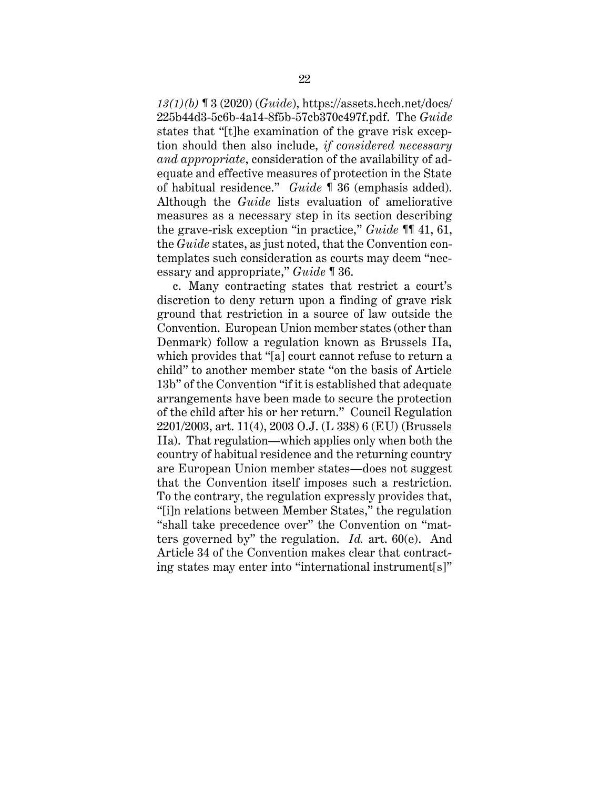*13(1)(b)* ¶ 3 (2020) (*Guide*), https://assets.hcch.net/docs/ 225b44d3-5c6b-4a14-8f5b-57cb370c497f.pdf. The *Guide* states that "[t]he examination of the grave risk exception should then also include, *if considered necessary and appropriate*, consideration of the availability of adequate and effective measures of protection in the State of habitual residence." *Guide* ¶ 36 (emphasis added). Although the *Guide* lists evaluation of ameliorative measures as a necessary step in its section describing the grave-risk exception "in practice," *Guide* ¶¶ 41, 61, the *Guide* states, as just noted, that the Convention contemplates such consideration as courts may deem "necessary and appropriate," *Guide* ¶ 36.

c. Many contracting states that restrict a court's discretion to deny return upon a finding of grave risk ground that restriction in a source of law outside the Convention. European Union member states (other than Denmark) follow a regulation known as Brussels IIa, which provides that "[a] court cannot refuse to return a child" to another member state "on the basis of Article 13b" of the Convention "if it is established that adequate arrangements have been made to secure the protection of the child after his or her return."Council Regulation 2201/2003, art. 11(4), 2003 O.J. (L 338) 6 (EU) (Brussels IIa). That regulation—which applies only when both the country of habitual residence and the returning country are European Union member states—does not suggest that the Convention itself imposes such a restriction. To the contrary, the regulation expressly provides that, "[i]n relations between Member States," the regulation "shall take precedence over" the Convention on "matters governed by" the regulation. *Id.* art. 60(e). And Article 34 of the Convention makes clear that contracting states may enter into "international instrument[s]"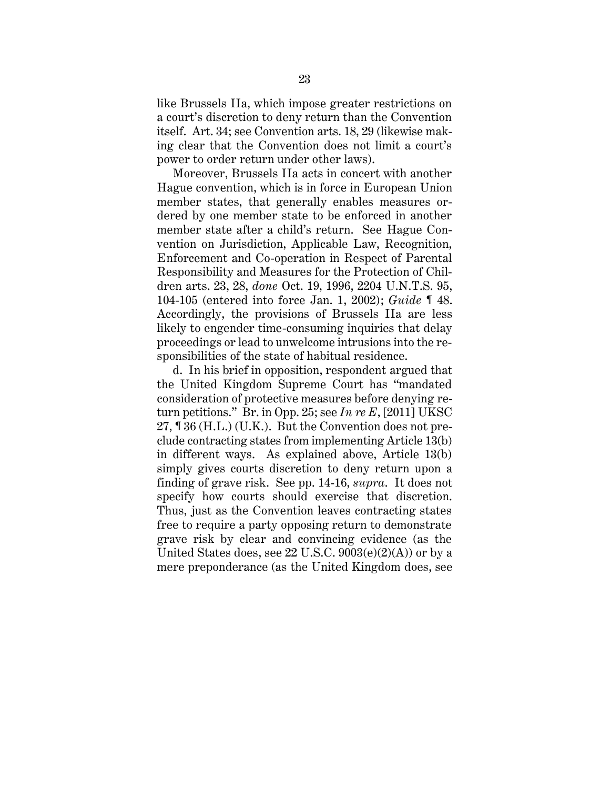like Brussels IIa, which impose greater restrictions on a court's discretion to deny return than the Convention itself. Art. 34; see Convention arts. 18, 29 (likewise making clear that the Convention does not limit a court's power to order return under other laws).

Moreover, Brussels IIa acts in concert with another Hague convention, which is in force in European Union member states, that generally enables measures ordered by one member state to be enforced in another member state after a child's return. See Hague Convention on Jurisdiction, Applicable Law, Recognition, Enforcement and Co-operation in Respect of Parental Responsibility and Measures for the Protection of Children arts. 23, 28, *done* Oct. 19, 1996, 2204 U.N.T.S. 95, 104-105 (entered into force Jan. 1, 2002); *Guide* ¶ 48. Accordingly, the provisions of Brussels IIa are less likely to engender time-consuming inquiries that delay proceedings or lead to unwelcome intrusions into the responsibilities of the state of habitual residence.

d. In his brief in opposition, respondent argued that the United Kingdom Supreme Court has "mandated consideration of protective measures before denying return petitions." Br. in Opp. 25; see *In re E*, [2011] UKSC 27, ¶ 36 (H.L.) (U.K.). But the Convention does not preclude contracting states from implementing Article 13(b) in different ways. As explained above, Article 13(b) simply gives courts discretion to deny return upon a finding of grave risk. See pp. 14-16, *supra*. It does not specify how courts should exercise that discretion. Thus, just as the Convention leaves contracting states free to require a party opposing return to demonstrate grave risk by clear and convincing evidence (as the United States does, see  $22$  U.S.C.  $9003(e)(2)(A)$  or by a mere preponderance (as the United Kingdom does, see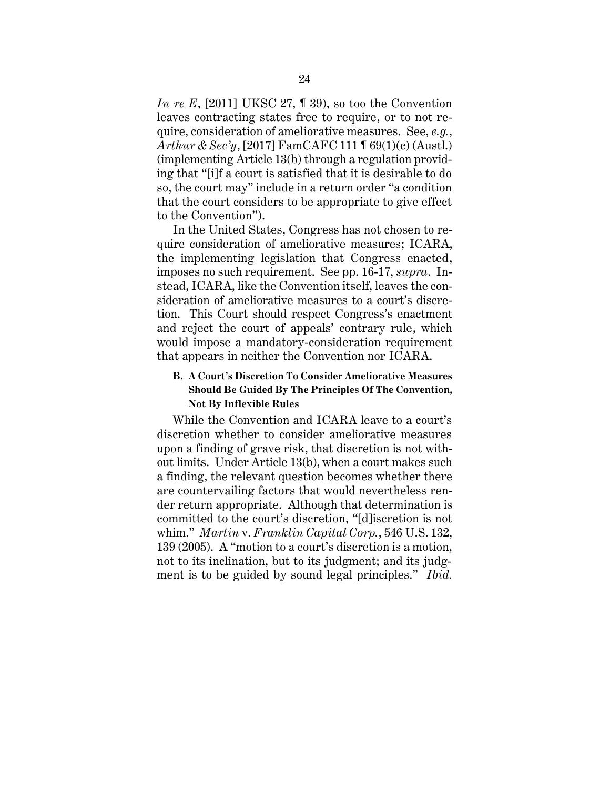*In re E*, [2011] UKSC 27, **1** 39), so too the Convention leaves contracting states free to require, or to not require, consideration of ameliorative measures. See, *e.g.*, *Arthur & Sec'y*, [2017] FamCAFC 111 ¶ 69(1)(c) (Austl.) (implementing Article 13(b) through a regulation providing that "[i]f a court is satisfied that it is desirable to do so, the court may" include in a return order "a condition that the court considers to be appropriate to give effect to the Convention").

In the United States, Congress has not chosen to require consideration of ameliorative measures; ICARA, the implementing legislation that Congress enacted, imposes no such requirement. See pp. 16-17, *supra*. Instead, ICARA, like the Convention itself, leaves the consideration of ameliorative measures to a court's discretion. This Court should respect Congress's enactment and reject the court of appeals' contrary rule, which would impose a mandatory-consideration requirement that appears in neither the Convention nor ICARA.

## <span id="page-30-0"></span>**B. A Court's Discretion To Consider Ameliorative Measures Should Be Guided By The Principles Of The Convention, Not By Inflexible Rules**

While the Convention and ICARA leave to a court's discretion whether to consider ameliorative measures upon a finding of grave risk, that discretion is not without limits. Under Article 13(b), when a court makes such a finding, the relevant question becomes whether there are countervailing factors that would nevertheless render return appropriate. Although that determination is committed to the court's discretion, "[d]iscretion is not whim." *Martin* v. *Franklin Capital Corp.*, 546 U.S. 132, 139 (2005). A "motion to a court's discretion is a motion, not to its inclination, but to its judgment; and its judgment is to be guided by sound legal principles." *Ibid.*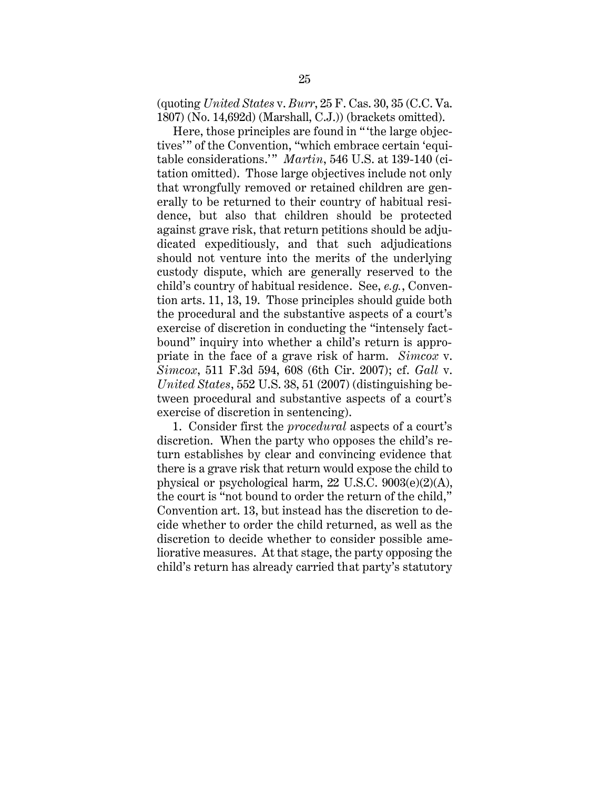(quoting *United States* v. *Burr*, 25 F. Cas. 30, 35 (C.C. Va. 1807) (No. 14,692d) (Marshall, C.J.)) (brackets omitted).

Here, those principles are found in " 'the large objectives'" of the Convention, "which embrace certain 'equitable considerations." Martin, 546 U.S. at 139-140 (citation omitted). Those large objectives include not only that wrongfully removed or retained children are generally to be returned to their country of habitual residence, but also that children should be protected against grave risk, that return petitions should be adjudicated expeditiously, and that such adjudications should not venture into the merits of the underlying custody dispute, which are generally reserved to the child's country of habitual residence. See, *e.g.*, Convention arts. 11, 13, 19. Those principles should guide both the procedural and the substantive aspects of a court's exercise of discretion in conducting the "intensely factbound" inquiry into whether a child's return is appropriate in the face of a grave risk of harm. *Simcox* v. *Simcox*, 511 F.3d 594, 608 (6th Cir. 2007); cf. *Gall* v. *United States*, 552 U.S. 38, 51 (2007) (distinguishing between procedural and substantive aspects of a court's exercise of discretion in sentencing).

1. Consider first the *procedural* aspects of a court's discretion. When the party who opposes the child's return establishes by clear and convincing evidence that there is a grave risk that return would expose the child to physical or psychological harm, 22 U.S.C. 9003(e)(2)(A), the court is "not bound to order the return of the child," Convention art. 13, but instead has the discretion to decide whether to order the child returned, as well as the discretion to decide whether to consider possible ameliorative measures. At that stage, the party opposing the child's return has already carried that party's statutory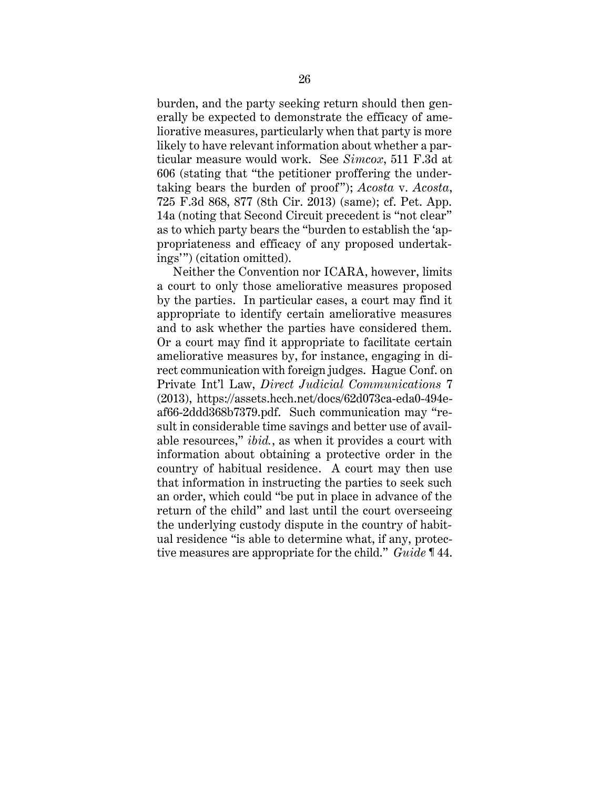burden, and the party seeking return should then generally be expected to demonstrate the efficacy of ameliorative measures, particularly when that party is more likely to have relevant information about whether a particular measure would work. See *Simcox*, 511 F.3d at 606 (stating that "the petitioner proffering the undertaking bears the burden of proof "); *Acosta* v. *Acosta*, 725 F.3d 868, 877 (8th Cir. 2013) (same); cf. Pet. App. 14a (noting that Second Circuit precedent is "not clear" as to which party bears the "burden to establish the 'appropriateness and efficacy of any proposed undertakings'") (citation omitted).

Neither the Convention nor ICARA, however, limits a court to only those ameliorative measures proposed by the parties. In particular cases, a court may find it appropriate to identify certain ameliorative measures and to ask whether the parties have considered them. Or a court may find it appropriate to facilitate certain ameliorative measures by, for instance, engaging in direct communication with foreign judges. Hague Conf. on Private Int'l Law, *Direct Judicial Communications* 7 (2013), https://assets.hcch.net/docs/62d073ca-eda0-494eaf66-2ddd368b7379.pdf. Such communication may "result in considerable time savings and better use of available resources," *ibid.*, as when it provides a court with information about obtaining a protective order in the country of habitual residence. A court may then use that information in instructing the parties to seek such an order, which could "be put in place in advance of the return of the child" and last until the court overseeing the underlying custody dispute in the country of habitual residence "is able to determine what, if any, protective measures are appropriate for the child." *Guide* ¶ 44.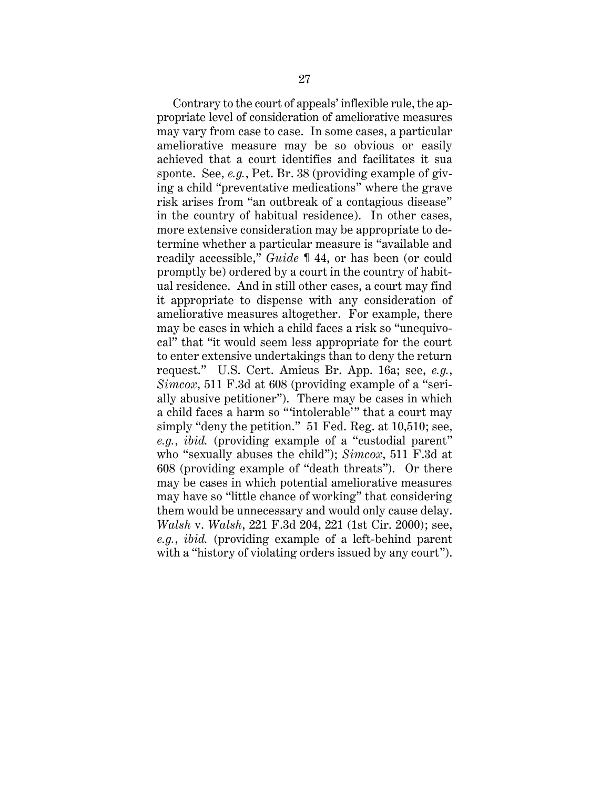Contrary to the court of appeals' inflexible rule, the appropriate level of consideration of ameliorative measures may vary from case to case. In some cases, a particular ameliorative measure may be so obvious or easily achieved that a court identifies and facilitates it sua sponte. See, *e.g.*, Pet. Br. 38 (providing example of giving a child "preventative medications" where the grave risk arises from "an outbreak of a contagious disease" in the country of habitual residence). In other cases, more extensive consideration may be appropriate to determine whether a particular measure is "available and readily accessible," *Guide* ¶ 44, or has been (or could promptly be) ordered by a court in the country of habitual residence. And in still other cases, a court may find it appropriate to dispense with any consideration of ameliorative measures altogether. For example, there may be cases in which a child faces a risk so "unequivocal" that "it would seem less appropriate for the court to enter extensive undertakings than to deny the return request." U.S. Cert. Amicus Br. App. 16a; see, *e.g.*, *Simcox*, 511 F.3d at 608 (providing example of a "serially abusive petitioner"). There may be cases in which a child faces a harm so "'intolerable'" that a court may simply "deny the petition." 51 Fed. Reg. at 10,510; see, *e.g.*, *ibid.* (providing example of a "custodial parent" who "sexually abuses the child"); *Simcox*, 511 F.3d at 608 (providing example of "death threats"). Or there may be cases in which potential ameliorative measures may have so "little chance of working" that considering them would be unnecessary and would only cause delay. *Walsh* v. *Walsh*, 221 F.3d 204, 221 (1st Cir. 2000); see, *e.g.*, *ibid.* (providing example of a left-behind parent with a "history of violating orders issued by any court".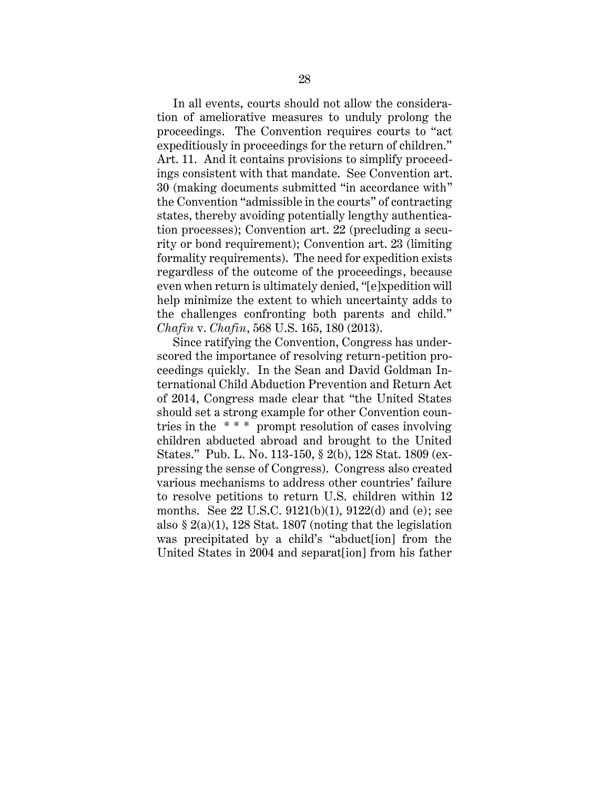In all events, courts should not allow the consideration of ameliorative measures to unduly prolong the proceedings. The Convention requires courts to "act expeditiously in proceedings for the return of children." Art. 11. And it contains provisions to simplify proceedings consistent with that mandate. See Convention art. 30 (making documents submitted "in accordance with" the Convention "admissible in the courts" of contracting states, thereby avoiding potentially lengthy authentication processes); Convention art. 22 (precluding a security or bond requirement); Convention art. 23 (limiting formality requirements). The need for expedition exists regardless of the outcome of the proceedings, because even when return is ultimately denied, "[e]xpedition will help minimize the extent to which uncertainty adds to the challenges confronting both parents and child." *Chafin* v. *Chafin*, 568 U.S. 165, 180 (2013).

Since ratifying the Convention, Congress has underscored the importance of resolving return-petition proceedings quickly. In the Sean and David Goldman International Child Abduction Prevention and Return Act of 2014, Congress made clear that "the United States should set a strong example for other Convention countries in the \* \* \* prompt resolution of cases involving children abducted abroad and brought to the United States." Pub. L. No. 113-150, § 2(b), 128 Stat. 1809 (expressing the sense of Congress). Congress also created various mechanisms to address other countries' failure to resolve petitions to return U.S. children within 12 months. See 22 U.S.C. 9121(b)(1), 9122(d) and (e); see also  $\S 2(a)(1)$ , 128 Stat. 1807 (noting that the legislation was precipitated by a child's "abduct[ion] from the United States in 2004 and separat[ion] from his father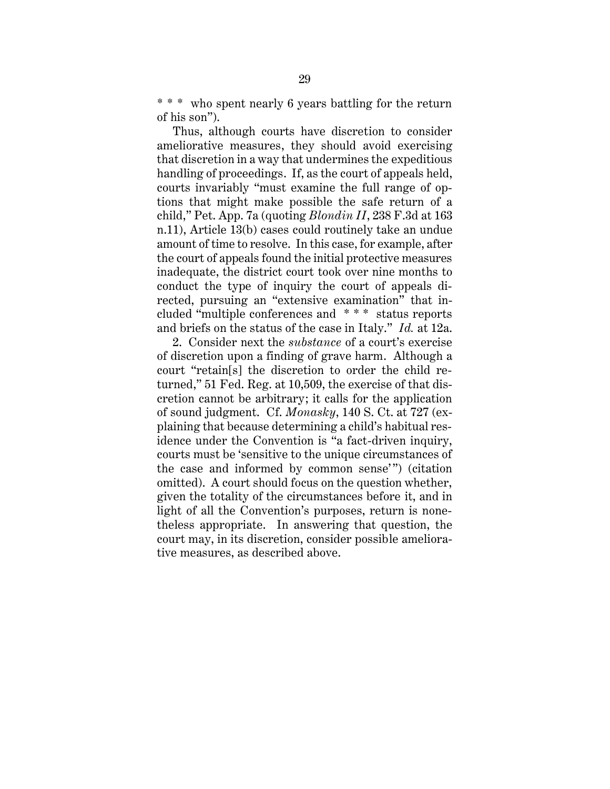\* \* \* who spent nearly 6 years battling for the return of his son").

Thus, although courts have discretion to consider ameliorative measures, they should avoid exercising that discretion in a way that undermines the expeditious handling of proceedings. If, as the court of appeals held, courts invariably "must examine the full range of options that might make possible the safe return of a child," Pet. App. 7a (quoting *Blondin II*, 238 F.3d at 163 n.11), Article 13(b) cases could routinely take an undue amount of time to resolve. In this case, for example, after the court of appeals found the initial protective measures inadequate, the district court took over nine months to conduct the type of inquiry the court of appeals directed, pursuing an "extensive examination" that included "multiple conferences and \* \* \* status reports and briefs on the status of the case in Italy." *Id.* at 12a.

2. Consider next the *substance* of a court's exercise of discretion upon a finding of grave harm. Although a court "retain[s] the discretion to order the child returned," 51 Fed. Reg. at 10,509, the exercise of that discretion cannot be arbitrary; it calls for the application of sound judgment. Cf. *Monasky*, 140 S. Ct. at 727 (explaining that because determining a child's habitual residence under the Convention is "a fact-driven inquiry, courts must be 'sensitive to the unique circumstances of the case and informed by common sense'") (citation omitted). A court should focus on the question whether, given the totality of the circumstances before it, and in light of all the Convention's purposes, return is nonetheless appropriate. In answering that question, the court may, in its discretion, consider possible ameliorative measures, as described above.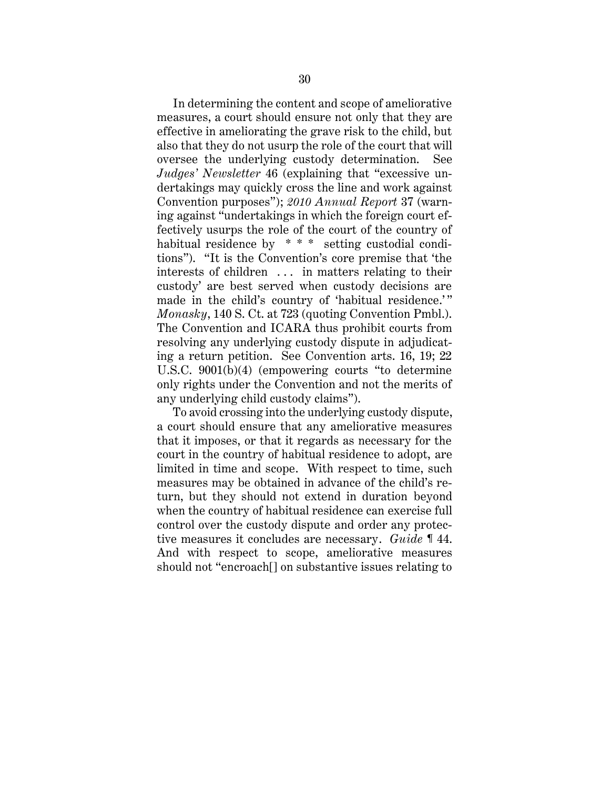In determining the content and scope of ameliorative measures, a court should ensure not only that they are effective in ameliorating the grave risk to the child, but also that they do not usurp the role of the court that will oversee the underlying custody determination. See *Judges' Newsletter* 46 (explaining that "excessive undertakings may quickly cross the line and work against Convention purposes"); *2010 Annual Report* 37 (warning against "undertakings in which the foreign court effectively usurps the role of the court of the country of habitual residence by \*\*\* setting custodial conditions"). "It is the Convention's core premise that 'the interests of children . . . in matters relating to their custody' are best served when custody decisions are made in the child's country of 'habitual residence.'" *Monasky*, 140 S. Ct. at 723 (quoting Convention Pmbl.). The Convention and ICARA thus prohibit courts from resolving any underlying custody dispute in adjudicating a return petition. See Convention arts. 16, 19; 22 U.S.C. 9001(b)(4) (empowering courts "to determine only rights under the Convention and not the merits of any underlying child custody claims").

To avoid crossing into the underlying custody dispute, a court should ensure that any ameliorative measures that it imposes, or that it regards as necessary for the court in the country of habitual residence to adopt, are limited in time and scope. With respect to time, such measures may be obtained in advance of the child's return, but they should not extend in duration beyond when the country of habitual residence can exercise full control over the custody dispute and order any protective measures it concludes are necessary. *Guide* ¶ 44. And with respect to scope, ameliorative measures should not "encroach[] on substantive issues relating to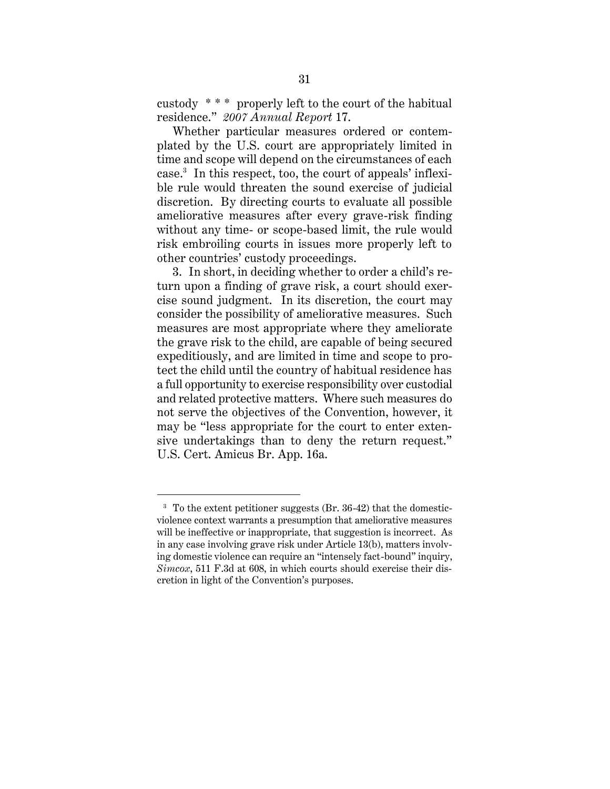custody \* \* \* properly left to the court of the habitual residence." *2007 Annual Report* 17.

Whether particular measures ordered or contemplated by the U.S. court are appropriately limited in time and scope will depend on the circumstances of each case.<sup>3</sup> In this respect, too, the court of appeals' inflexible rule would threaten the sound exercise of judicial discretion. By directing courts to evaluate all possible ameliorative measures after every grave-risk finding without any time- or scope-based limit, the rule would risk embroiling courts in issues more properly left to other countries' custody proceedings.

3. In short, in deciding whether to order a child's return upon a finding of grave risk, a court should exercise sound judgment. In its discretion, the court may consider the possibility of ameliorative measures. Such measures are most appropriate where they ameliorate the grave risk to the child, are capable of being secured expeditiously, and are limited in time and scope to protect the child until the country of habitual residence has a full opportunity to exercise responsibility over custodial and related protective matters. Where such measures do not serve the objectives of the Convention, however, it may be "less appropriate for the court to enter extensive undertakings than to deny the return request." U.S. Cert. Amicus Br. App. 16a.

<sup>3</sup> To the extent petitioner suggests (Br. 36-42) that the domesticviolence context warrants a presumption that ameliorative measures will be ineffective or inappropriate, that suggestion is incorrect. As in any case involving grave risk under Article 13(b), matters involving domestic violence can require an "intensely fact-bound" inquiry, *Simcox*, 511 F.3d at 608, in which courts should exercise their discretion in light of the Convention's purposes.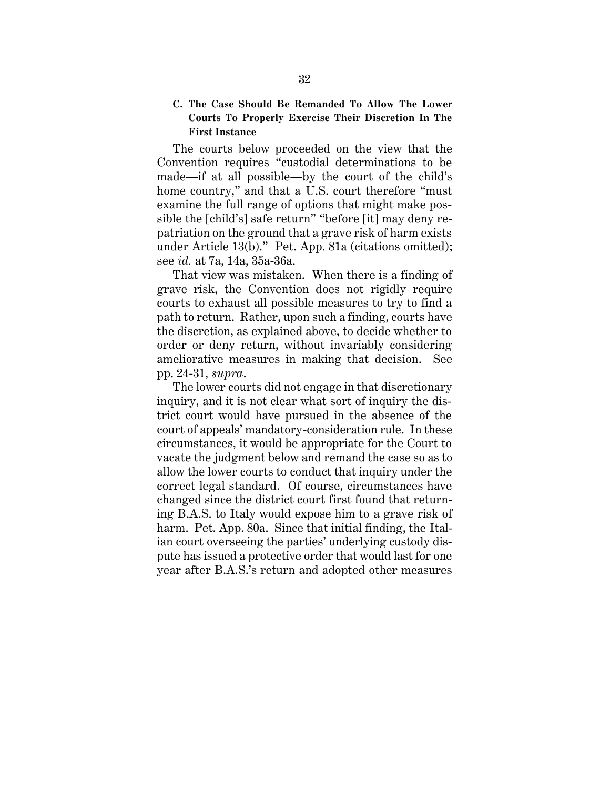# **C. The Case Should Be Remanded To Allow The Lower Courts To Properly Exercise Their Discretion In The First Instance**

The courts below proceeded on the view that the Convention requires "custodial determinations to be made—if at all possible—by the court of the child's home country," and that a U.S. court therefore "must examine the full range of options that might make possible the [child's] safe return" "before [it] may deny repatriation on the ground that a grave risk of harm exists under Article 13(b)." Pet. App. 81a (citations omitted); see *id.* at 7a, 14a, 35a-36a.

That view was mistaken. When there is a finding of grave risk, the Convention does not rigidly require courts to exhaust all possible measures to try to find a path to return. Rather, upon such a finding, courts have the discretion, as explained above, to decide whether to order or deny return, without invariably considering ameliorative measures in making that decision. See pp. 24-31, *supra*.

The lower courts did not engage in that discretionary inquiry, and it is not clear what sort of inquiry the district court would have pursued in the absence of the court of appeals' mandatory-consideration rule. In these circumstances, it would be appropriate for the Court to vacate the judgment below and remand the case so as to allow the lower courts to conduct that inquiry under the correct legal standard. Of course, circumstances have changed since the district court first found that returning B.A.S. to Italy would expose him to a grave risk of harm. Pet. App. 80a. Since that initial finding, the Italian court overseeing the parties' underlying custody dispute has issued a protective order that would last for one year after B.A.S.'s return and adopted other measures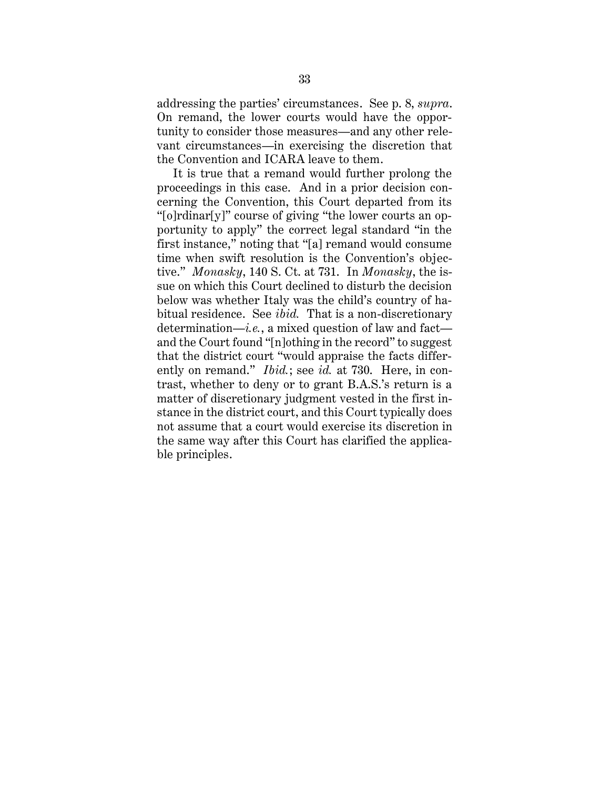addressing the parties' circumstances. See p. 8, *supra*. On remand, the lower courts would have the opportunity to consider those measures—and any other relevant circumstances—in exercising the discretion that the Convention and ICARA leave to them.

It is true that a remand would further prolong the proceedings in this case. And in a prior decision concerning the Convention, this Court departed from its "[o]rdinar[y]" course of giving "the lower courts an opportunity to apply" the correct legal standard "in the first instance," noting that "[a] remand would consume time when swift resolution is the Convention's objective." *Monasky*, 140 S. Ct. at 731. In *Monasky*, the issue on which this Court declined to disturb the decision below was whether Italy was the child's country of habitual residence. See *ibid.* That is a non-discretionary determination—*i.e.*, a mixed question of law and fact and the Court found "[n]othing in the record" to suggest that the district court "would appraise the facts differently on remand." *Ibid.*; see *id.* at 730. Here, in contrast, whether to deny or to grant B.A.S.'s return is a matter of discretionary judgment vested in the first instance in the district court, and this Court typically does not assume that a court would exercise its discretion in the same way after this Court has clarified the applicable principles.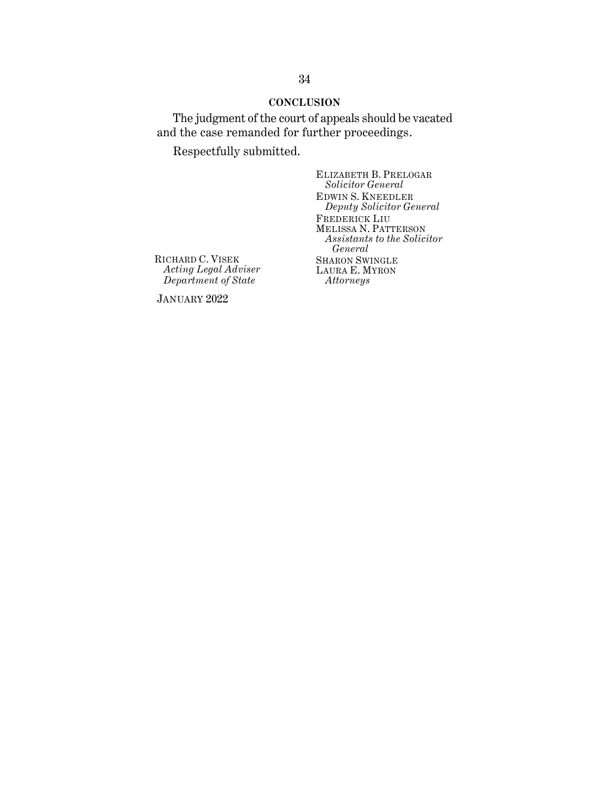### **CONCLUSION**

The judgment of the court of appeals should be vacated and the case remanded for further proceedings.

Respectfully submitted.

ELIZABETH B. PRELOGAR *Solicitor General* EDWIN S. KNEEDLER *Deputy Solicitor General* FREDERICK LIU MELISSA N. PATTERSON *Assistants to the Solicitor General* SHARON SWINGLE LAURA E. MYRON *Attorneys*

RICHARD C. VISEK *Acting Legal Adviser Department of State*

JANUARY 2022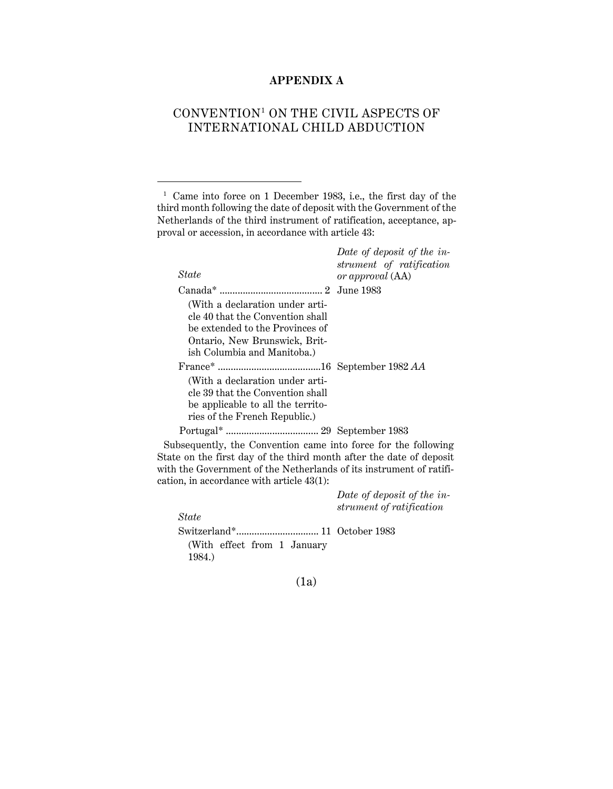# **APPENDIX A**

# CONVENTION<sup>1</sup> ON THE CIVIL ASPECTS OF INTERNATIONAL CHILD ABDUCTION

1 Came into force on 1 December 1983, i.e., the first day of the third month following the date of deposit with the Government of the Netherlands of the third instrument of ratification, acceptance, approval or accession, in accordance with article 43:

| State                                                                                                                                                                  | Date of deposit of the in-<br>strument of ratification<br>or approval (AA) |
|------------------------------------------------------------------------------------------------------------------------------------------------------------------------|----------------------------------------------------------------------------|
|                                                                                                                                                                        |                                                                            |
| (With a declaration under arti-<br>cle 40 that the Convention shall<br>be extended to the Provinces of<br>Ontario, New Brunswick, Brit-<br>ish Columbia and Manitoba.) |                                                                            |
|                                                                                                                                                                        |                                                                            |
| (With a declaration under arti-<br>cle 39 that the Convention shall<br>be applicable to all the territo-<br>ries of the French Republic.)                              |                                                                            |
|                                                                                                                                                                        |                                                                            |

Subsequently, the Convention came into force for the following State on the first day of the third month after the date of deposit with the Government of the Netherlands of its instrument of ratification, in accordance with article 43(1):

|                             | Date of deposit of the in-<br>strument of ratification |
|-----------------------------|--------------------------------------------------------|
| State                       |                                                        |
|                             |                                                        |
| (With effect from 1 January |                                                        |
| 1984.)                      |                                                        |

(1a)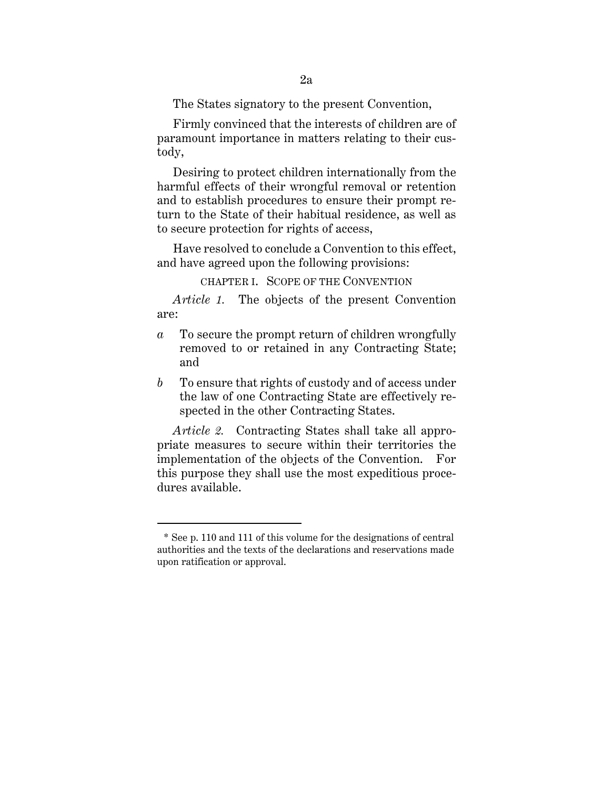The States signatory to the present Convention,

Firmly convinced that the interests of children are of paramount importance in matters relating to their custody,

Desiring to protect children internationally from the harmful effects of their wrongful removal or retention and to establish procedures to ensure their prompt return to the State of their habitual residence, as well as to secure protection for rights of access,

Have resolved to conclude a Convention to this effect, and have agreed upon the following provisions:

CHAPTER I. SCOPE OF THE CONVENTION

*Article 1.* The objects of the present Convention are:

- *a* To secure the prompt return of children wrongfully removed to or retained in any Contracting State; and
- *b* To ensure that rights of custody and of access under the law of one Contracting State are effectively respected in the other Contracting States.

*Article 2.* Contracting States shall take all appropriate measures to secure within their territories the implementation of the objects of the Convention. For this purpose they shall use the most expeditious procedures available.

<sup>\*</sup> See p. 110 and 111 of this volume for the designations of central authorities and the texts of the declarations and reservations made upon ratification or approval.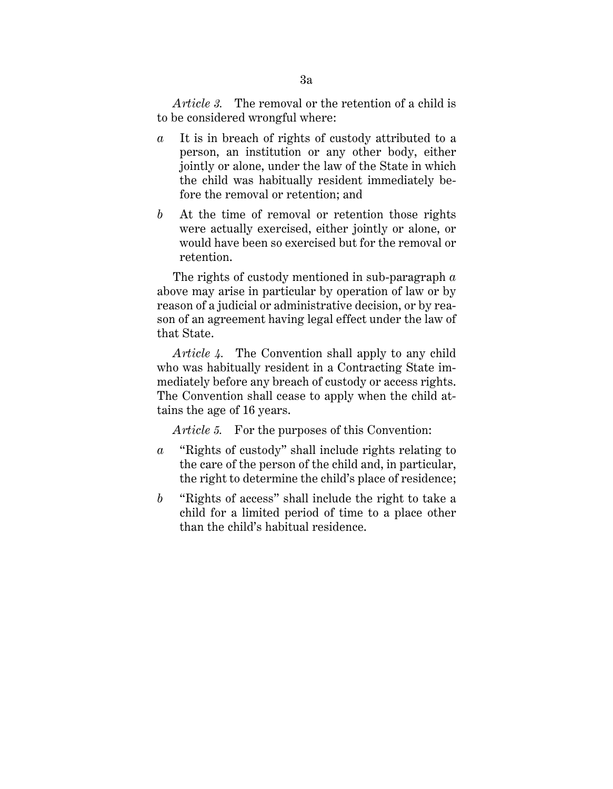*Article 3.* The removal or the retention of a child is to be considered wrongful where:

- *a* It is in breach of rights of custody attributed to a person, an institution or any other body, either jointly or alone, under the law of the State in which the child was habitually resident immediately before the removal or retention; and
- *b* At the time of removal or retention those rights were actually exercised, either jointly or alone, or would have been so exercised but for the removal or retention.

The rights of custody mentioned in sub-paragraph *a* above may arise in particular by operation of law or by reason of a judicial or administrative decision, or by reason of an agreement having legal effect under the law of that State.

*Article 4.* The Convention shall apply to any child who was habitually resident in a Contracting State immediately before any breach of custody or access rights. The Convention shall cease to apply when the child attains the age of 16 years.

*Article 5.* For the purposes of this Convention:

- *a* "Rights of custody" shall include rights relating to the care of the person of the child and, in particular, the right to determine the child's place of residence;
- *b* "Rights of access" shall include the right to take a child for a limited period of time to a place other than the child's habitual residence.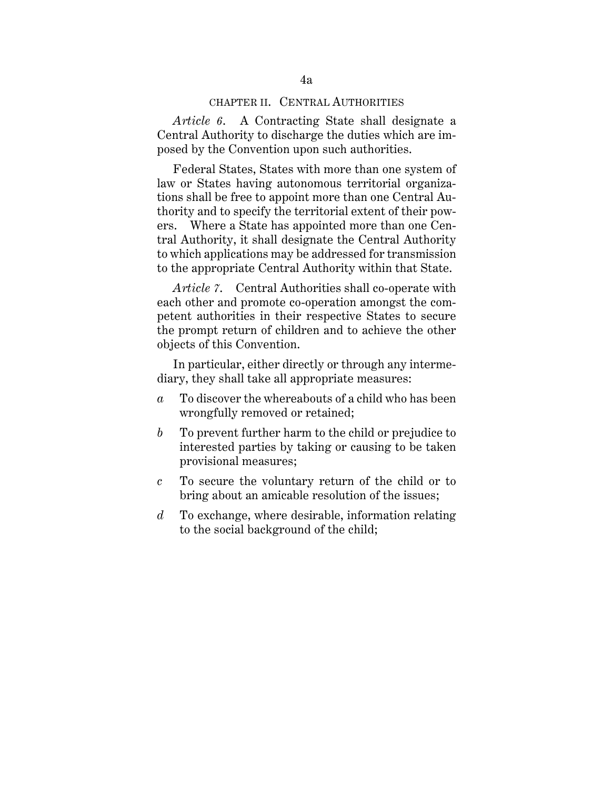#### CHAPTER II. CENTRAL AUTHORITIES

*Article 6*.A Contracting State shall designate a Central Authority to discharge the duties which are imposed by the Convention upon such authorities.

Federal States, States with more than one system of law or States having autonomous territorial organizations shall be free to appoint more than one Central Authority and to specify the territorial extent of their powers. Where a State has appointed more than one Central Authority, it shall designate the Central Authority to which applications may be addressed for transmission to the appropriate Central Authority within that State.

*Article 7*. Central Authorities shall co-operate with each other and promote co-operation amongst the competent authorities in their respective States to secure the prompt return of children and to achieve the other objects of this Convention.

In particular, either directly or through any intermediary, they shall take all appropriate measures:

- *a* To discover the whereabouts of a child who has been wrongfully removed or retained;
- *b* To prevent further harm to the child or prejudice to interested parties by taking or causing to be taken provisional measures;
- *c* To secure the voluntary return of the child or to bring about an amicable resolution of the issues;
- *d* To exchange, where desirable, information relating to the social background of the child;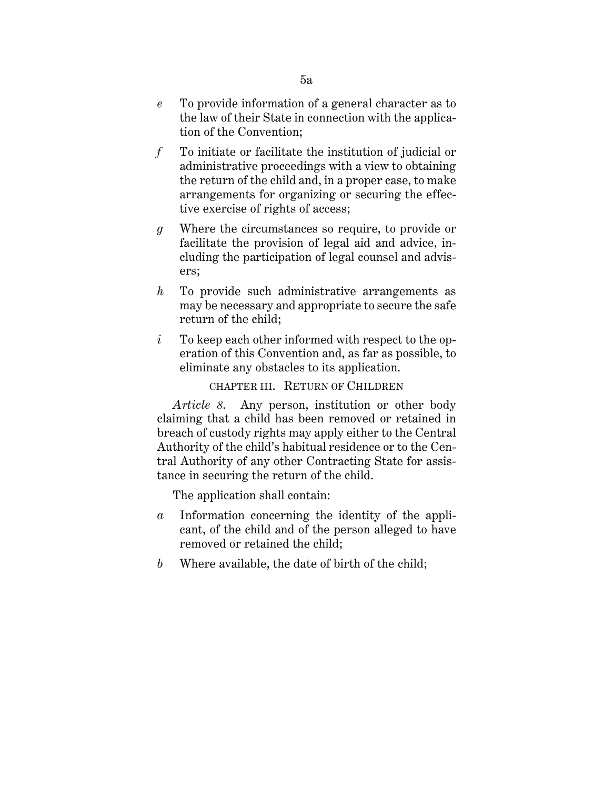- *e* To provide information of a general character as to the law of their State in connection with the application of the Convention;
- *f* To initiate or facilitate the institution of judicial or administrative proceedings with a view to obtaining the return of the child and, in a proper case, to make arrangements for organizing or securing the effective exercise of rights of access;
- *g* Where the circumstances so require, to provide or facilitate the provision of legal aid and advice, including the participation of legal counsel and advisers;
- *h* To provide such administrative arrangements as may be necessary and appropriate to secure the safe return of the child;
- *i* To keep each other informed with respect to the operation of this Convention and, as far as possible, to eliminate any obstacles to its application.

CHAPTER III. RETURN OF CHILDREN

*Article 8*.Any person, institution or other body claiming that a child has been removed or retained in breach of custody rights may apply either to the Central Authority of the child's habitual residence or to the Central Authority of any other Contracting State for assistance in securing the return of the child.

The application shall contain:

- *a* Information concerning the identity of the applicant, of the child and of the person alleged to have removed or retained the child;
- *b* Where available, the date of birth of the child;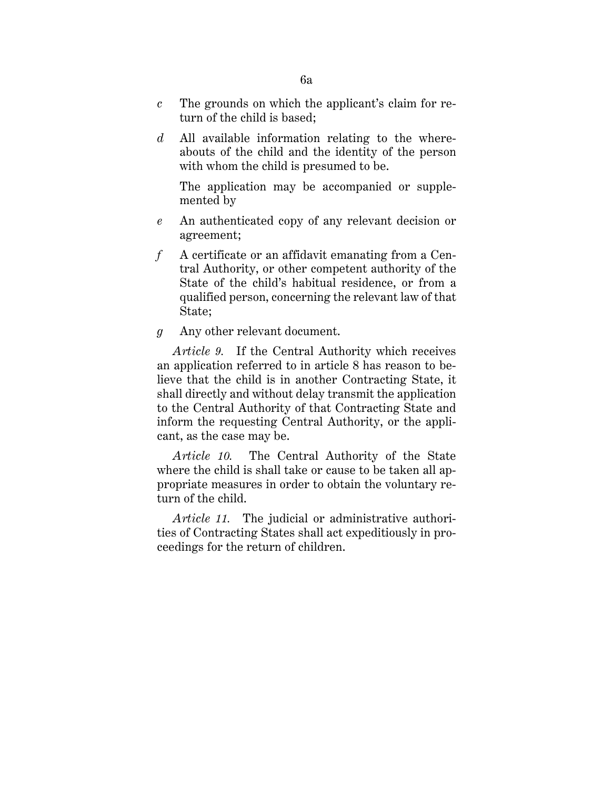- *c* The grounds on which the applicant's claim for return of the child is based;
- *d* All available information relating to the whereabouts of the child and the identity of the person with whom the child is presumed to be.

The application may be accompanied or supplemented by

- *e* An authenticated copy of any relevant decision or agreement;
- *f* A certificate or an affidavit emanating from a Central Authority, or other competent authority of the State of the child's habitual residence, or from a qualified person, concerning the relevant law of that State;
- *g* Any other relevant document.

*Article 9.* If the Central Authority which receives an application referred to in article 8 has reason to believe that the child is in another Contracting State, it shall directly and without delay transmit the application to the Central Authority of that Contracting State and inform the requesting Central Authority, or the applicant, as the case may be.

*Article 10.* The Central Authority of the State where the child is shall take or cause to be taken all appropriate measures in order to obtain the voluntary return of the child.

*Article 11.* The judicial or administrative authorities of Contracting States shall act expeditiously in proceedings for the return of children.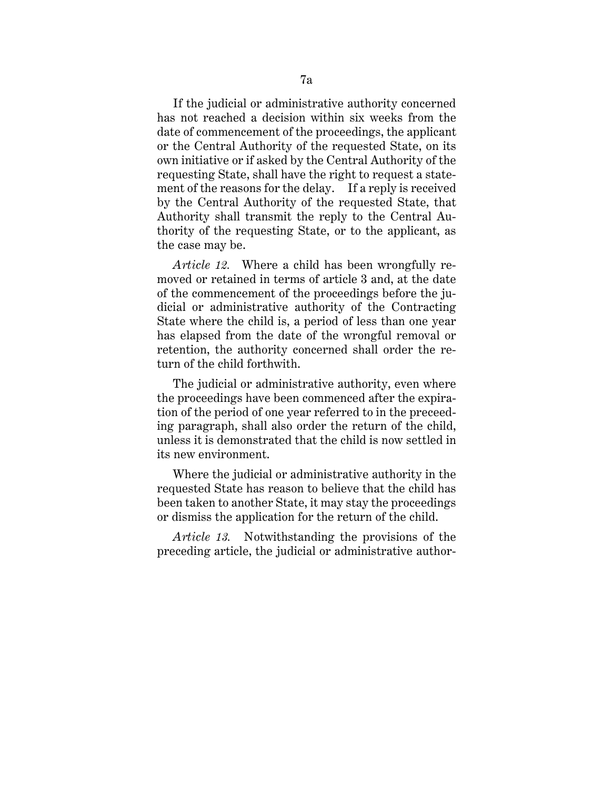If the judicial or administrative authority concerned has not reached a decision within six weeks from the date of commencement of the proceedings, the applicant or the Central Authority of the requested State, on its own initiative or if asked by the Central Authority of the requesting State, shall have the right to request a statement of the reasons for the delay. If a reply is received by the Central Authority of the requested State, that Authority shall transmit the reply to the Central Authority of the requesting State, or to the applicant, as the case may be.

*Article 12.* Where a child has been wrongfully removed or retained in terms of article 3 and, at the date of the commencement of the proceedings before the judicial or administrative authority of the Contracting State where the child is, a period of less than one year has elapsed from the date of the wrongful removal or retention, the authority concerned shall order the return of the child forthwith.

The judicial or administrative authority, even where the proceedings have been commenced after the expiration of the period of one year referred to in the preceeding paragraph, shall also order the return of the child, unless it is demonstrated that the child is now settled in its new environment.

Where the judicial or administrative authority in the requested State has reason to believe that the child has been taken to another State, it may stay the proceedings or dismiss the application for the return of the child.

*Article 13.* Notwithstanding the provisions of the preceding article, the judicial or administrative author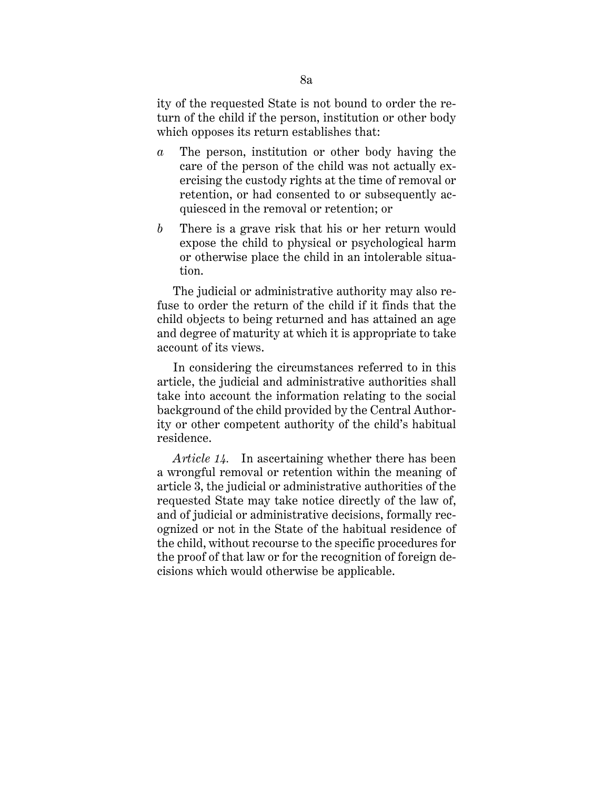ity of the requested State is not bound to order the return of the child if the person, institution or other body which opposes its return establishes that:

- *a* The person, institution or other body having the care of the person of the child was not actually exercising the custody rights at the time of removal or retention, or had consented to or subsequently acquiesced in the removal or retention; or
- *b* There is a grave risk that his or her return would expose the child to physical or psychological harm or otherwise place the child in an intolerable situation.

The judicial or administrative authority may also refuse to order the return of the child if it finds that the child objects to being returned and has attained an age and degree of maturity at which it is appropriate to take account of its views.

In considering the circumstances referred to in this article, the judicial and administrative authorities shall take into account the information relating to the social background of the child provided by the Central Authority or other competent authority of the child's habitual residence.

*Article 14.* In ascertaining whether there has been a wrongful removal or retention within the meaning of article 3, the judicial or administrative authorities of the requested State may take notice directly of the law of, and of judicial or administrative decisions, formally recognized or not in the State of the habitual residence of the child, without recourse to the specific procedures for the proof of that law or for the recognition of foreign decisions which would otherwise be applicable.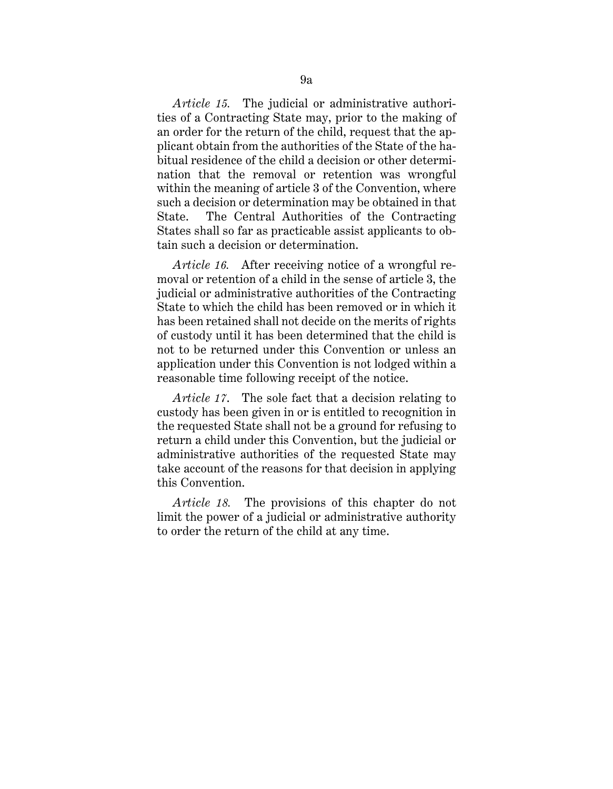*Article 15.* The judicial or administrative authorities of a Contracting State may, prior to the making of an order for the return of the child, request that the applicant obtain from the authorities of the State of the habitual residence of the child a decision or other determination that the removal or retention was wrongful within the meaning of article 3 of the Convention, where such a decision or determination may be obtained in that State. The Central Authorities of the Contracting States shall so far as practicable assist applicants to obtain such a decision or determination.

*Article 16.* After receiving notice of a wrongful removal or retention of a child in the sense of article 3, the judicial or administrative authorities of the Contracting State to which the child has been removed or in which it has been retained shall not decide on the merits of rights of custody until it has been determined that the child is not to be returned under this Convention or unless an application under this Convention is not lodged within a reasonable time following receipt of the notice.

*Article 17*. The sole fact that a decision relating to custody has been given in or is entitled to recognition in the requested State shall not be a ground for refusing to return a child under this Convention, but the judicial or administrative authorities of the requested State may take account of the reasons for that decision in applying this Convention.

*Article 18.* The provisions of this chapter do not limit the power of a judicial or administrative authority to order the return of the child at any time.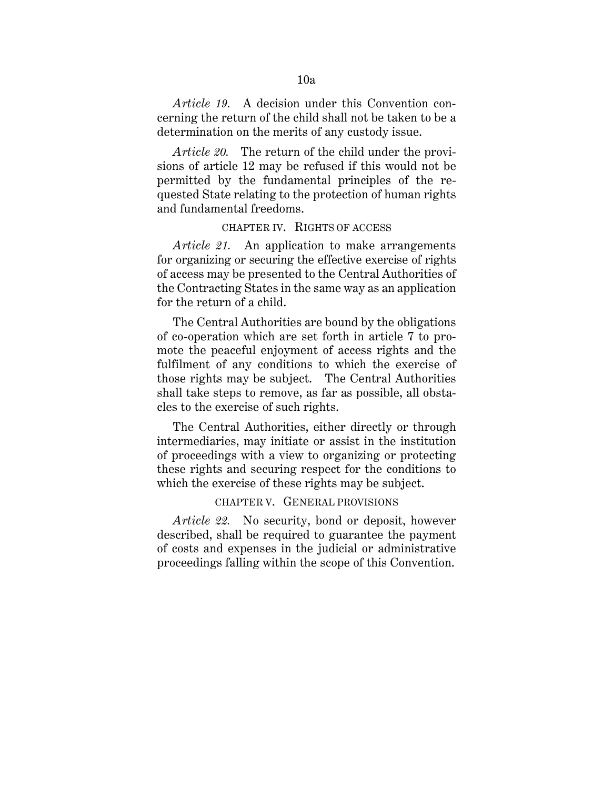*Article 19.* A decision under this Convention concerning the return of the child shall not be taken to be a determination on the merits of any custody issue.

*Article 20.* The return of the child under the provisions of article 12 may be refused if this would not be permitted by the fundamental principles of the requested State relating to the protection of human rights and fundamental freedoms.

### CHAPTER IV. RIGHTS OF ACCESS

*Article 21.* An application to make arrangements for organizing or securing the effective exercise of rights of access may be presented to the Central Authorities of the Contracting States in the same way as an application for the return of a child.

The Central Authorities are bound by the obligations of co-operation which are set forth in article 7 to promote the peaceful enjoyment of access rights and the fulfilment of any conditions to which the exercise of those rights may be subject. The Central Authorities shall take steps to remove, as far as possible, all obstacles to the exercise of such rights.

The Central Authorities, either directly or through intermediaries, may initiate or assist in the institution of proceedings with a view to organizing or protecting these rights and securing respect for the conditions to which the exercise of these rights may be subject.

# CHAPTER V. GENERAL PROVISIONS

*Article 22.* No security, bond or deposit, however described, shall be required to guarantee the payment of costs and expenses in the judicial or administrative proceedings falling within the scope of this Convention.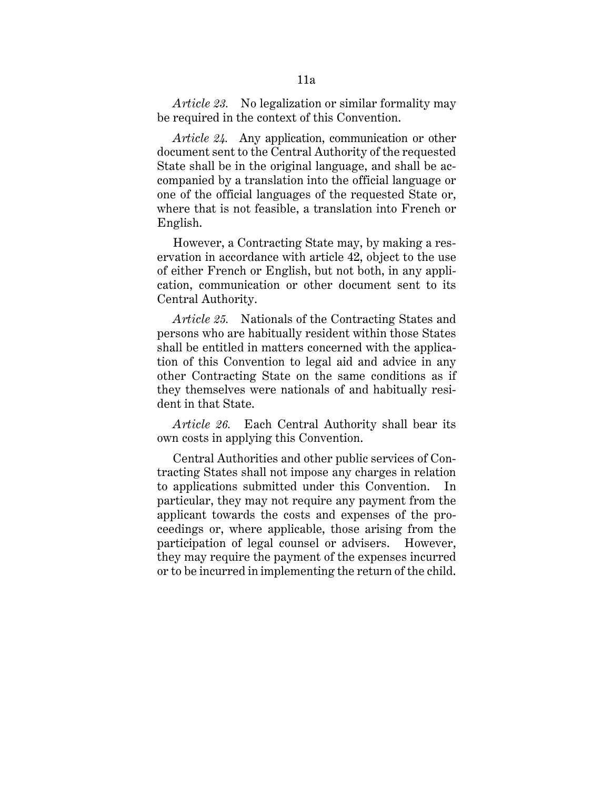*Article 23.* No legalization or similar formality may be required in the context of this Convention.

*Article 24.* Any application, communication or other document sent to the Central Authority of the requested State shall be in the original language, and shall be accompanied by a translation into the official language or one of the official languages of the requested State or, where that is not feasible, a translation into French or English.

However, a Contracting State may, by making a reservation in accordance with article 42, object to the use of either French or English, but not both, in any application, communication or other document sent to its Central Authority.

*Article 25.* Nationals of the Contracting States and persons who are habitually resident within those States shall be entitled in matters concerned with the application of this Convention to legal aid and advice in any other Contracting State on the same conditions as if they themselves were nationals of and habitually resident in that State.

*Article 26.* Each Central Authority shall bear its own costs in applying this Convention.

Central Authorities and other public services of Contracting States shall not impose any charges in relation to applications submitted under this Convention. particular, they may not require any payment from the applicant towards the costs and expenses of the proceedings or, where applicable, those arising from the participation of legal counsel or advisers. However, they may require the payment of the expenses incurred or to be incurred in implementing the return of the child.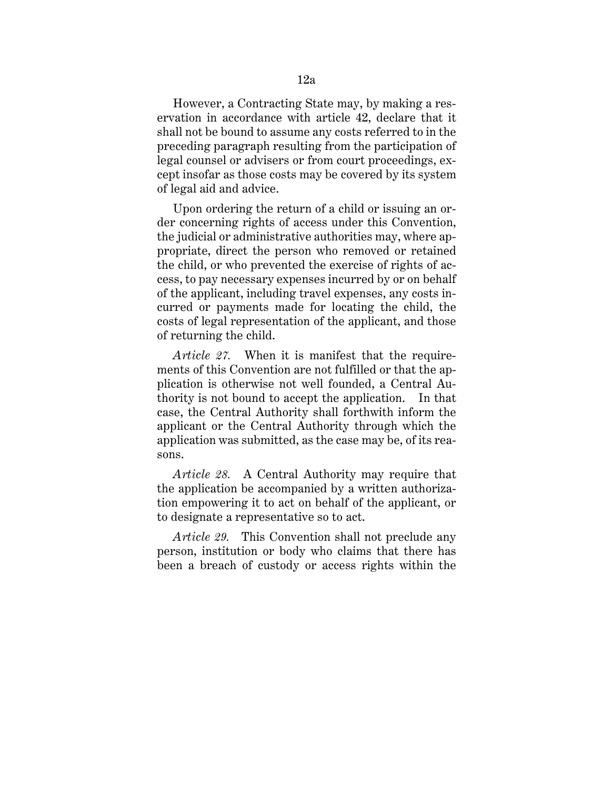However, a Contracting State may, by making a reservation in accordance with article 42, declare that it shall not be bound to assume any costs referred to in the preceding paragraph resulting from the participation of legal counsel or advisers or from court proceedings, except insofar as those costs may be covered by its system of legal aid and advice.

Upon ordering the return of a child or issuing an order concerning rights of access under this Convention, the judicial or administrative authorities may, where appropriate, direct the person who removed or retained the child, or who prevented the exercise of rights of access, to pay necessary expenses incurred by or on behalf of the applicant, including travel expenses, any costs incurred or payments made for locating the child, the costs of legal representation of the applicant, and those of returning the child.

*Article 27.* When it is manifest that the requirements of this Convention are not fulfilled or that the application is otherwise not well founded, a Central Authority is not bound to accept the application. In that case, the Central Authority shall forthwith inform the applicant or the Central Authority through which the application was submitted, as the case may be, of its reasons.

*Article 28.* A Central Authority may require that the application be accompanied by a written authorization empowering it to act on behalf of the applicant, or to designate a representative so to act.

*Article 29.* This Convention shall not preclude any person, institution or body who claims that there has been a breach of custody or access rights within the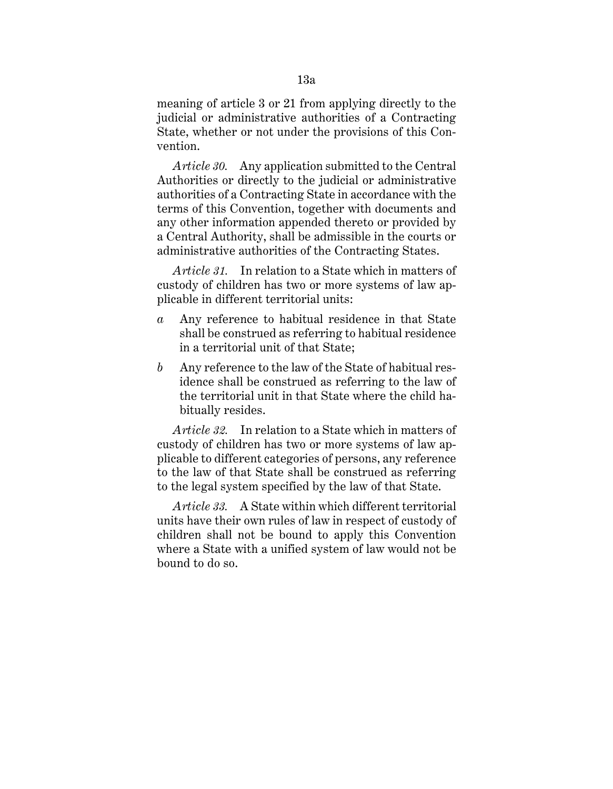meaning of article 3 or 21 from applying directly to the judicial or administrative authorities of a Contracting State, whether or not under the provisions of this Convention.

*Article 30.* Any application submitted to the Central Authorities or directly to the judicial or administrative authorities of a Contracting State in accordance with the terms of this Convention, together with documents and any other information appended thereto or provided by a Central Authority, shall be admissible in the courts or administrative authorities of the Contracting States.

*Article 31.* In relation to a State which in matters of custody of children has two or more systems of law applicable in different territorial units:

- *a* Any reference to habitual residence in that State shall be construed as referring to habitual residence in a territorial unit of that State;
- *b* Any reference to the law of the State of habitual residence shall be construed as referring to the law of the territorial unit in that State where the child habitually resides.

*Article 32.* In relation to a State which in matters of custody of children has two or more systems of law applicable to different categories of persons, any reference to the law of that State shall be construed as referring to the legal system specified by the law of that State.

*Article 33.* A State within which different territorial units have their own rules of law in respect of custody of children shall not be bound to apply this Convention where a State with a unified system of law would not be bound to do so.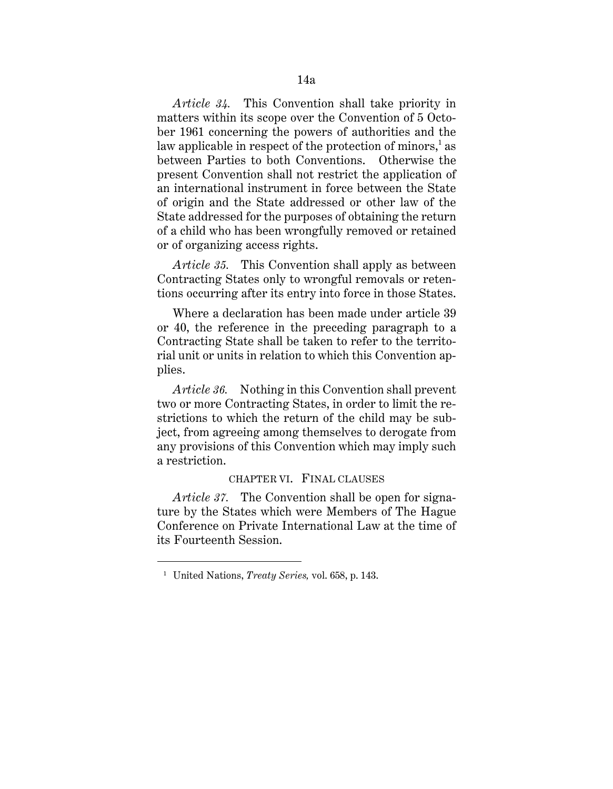*Article 34.* This Convention shall take priority in matters within its scope over the Convention of 5 October 1961 concerning the powers of authorities and the law applicable in respect of the protection of minors,  $\lambda$  as between Parties to both Conventions. Otherwise the present Convention shall not restrict the application of an international instrument in force between the State of origin and the State addressed or other law of the State addressed for the purposes of obtaining the return of a child who has been wrongfully removed or retained or of organizing access rights.

*Article 35.* This Convention shall apply as between Contracting States only to wrongful removals or retentions occurring after its entry into force in those States.

Where a declaration has been made under article 39 or 40, the reference in the preceding paragraph to a Contracting State shall be taken to refer to the territorial unit or units in relation to which this Convention applies.

*Article 36.* Nothing in this Convention shall prevent two or more Contracting States, in order to limit the restrictions to which the return of the child may be subject, from agreeing among themselves to derogate from any provisions of this Convention which may imply such a restriction.

#### CHAPTER VI. FINAL CLAUSES

*Article 37.* The Convention shall be open for signature by the States which were Members of The Hague Conference on Private International Law at the time of its Fourteenth Session.

<sup>1</sup> United Nations, *Treaty Series,* vol. 658, p. 143.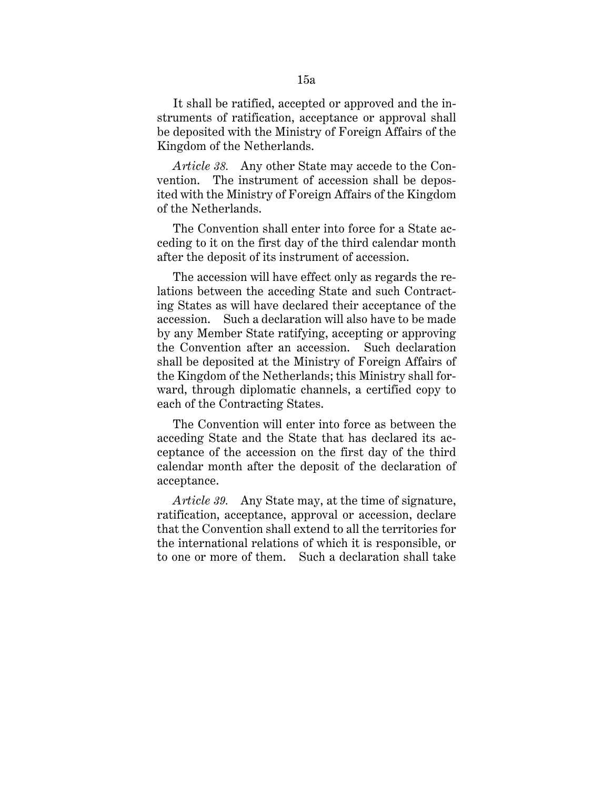It shall be ratified, accepted or approved and the instruments of ratification, acceptance or approval shall be deposited with the Ministry of Foreign Affairs of the Kingdom of the Netherlands.

*Article 38.* Any other State may accede to the Convention. The instrument of accession shall be deposited with the Ministry of Foreign Affairs of the Kingdom of the Netherlands.

The Convention shall enter into force for a State acceding to it on the first day of the third calendar month after the deposit of its instrument of accession.

The accession will have effect only as regards the relations between the acceding State and such Contracting States as will have declared their acceptance of the accession. Such a declaration will also have to be made by any Member State ratifying, accepting or approving the Convention after an accession. Such declaration shall be deposited at the Ministry of Foreign Affairs of the Kingdom of the Netherlands; this Ministry shall forward, through diplomatic channels, a certified copy to each of the Contracting States.

The Convention will enter into force as between the acceding State and the State that has declared its acceptance of the accession on the first day of the third calendar month after the deposit of the declaration of acceptance.

*Article 39.* Any State may, at the time of signature, ratification, acceptance, approval or accession, declare that the Convention shall extend to all the territories for the international relations of which it is responsible, or to one or more of them. Such a declaration shall take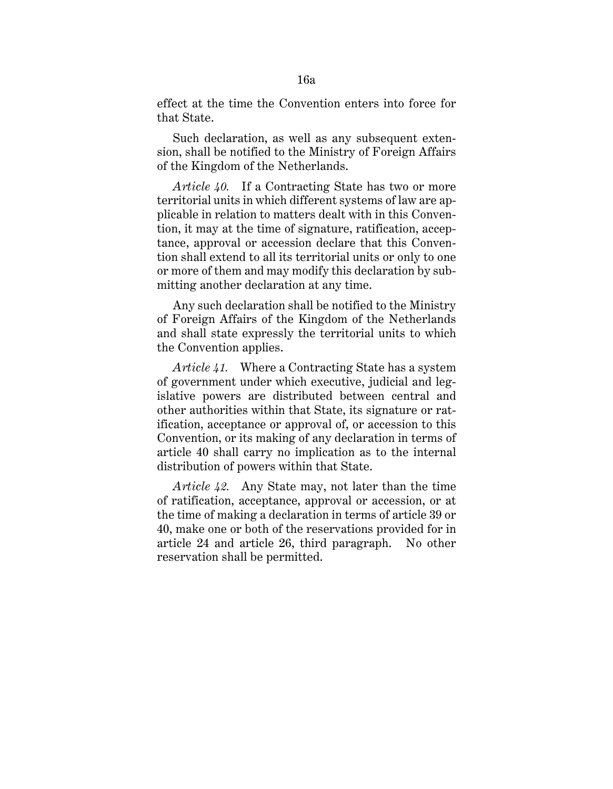effect at the time the Convention enters into force for that State.

Such declaration, as well as any subsequent extension, shall be notified to the Ministry of Foreign Affairs of the Kingdom of the Netherlands.

*Article 40.* If a Contracting State has two or more territorial units in which different systems of law are applicable in relation to matters dealt with in this Convention, it may at the time of signature, ratification, acceptance, approval or accession declare that this Convention shall extend to all its territorial units or only to one or more of them and may modify this declaration by submitting another declaration at any time.

Any such declaration shall be notified to the Ministry of Foreign Affairs of the Kingdom of the Netherlands and shall state expressly the territorial units to which the Convention applies.

*Article 41.* Where a Contracting State has a system of government under which executive, judicial and legislative powers are distributed between central and other authorities within that State, its signature or ratification, acceptance or approval of, or accession to this Convention, or its making of any declaration in terms of article 40 shall carry no implication as to the internal distribution of powers within that State.

*Article 42.* Any State may, not later than the time of ratification, acceptance, approval or accession, or at the time of making a declaration in terms of article 39 or 40, make one or both of the reservations provided for in article 24 and article 26, third paragraph. No other reservation shall be permitted.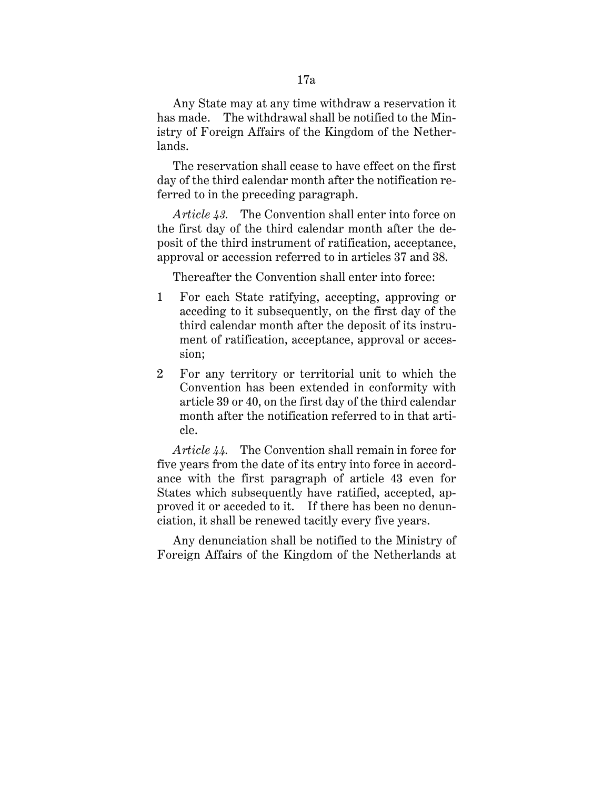Any State may at any time withdraw a reservation it has made. The withdrawal shall be notified to the Ministry of Foreign Affairs of the Kingdom of the Netherlands.

The reservation shall cease to have effect on the first day of the third calendar month after the notification referred to in the preceding paragraph.

*Article 43.* The Convention shall enter into force on the first day of the third calendar month after the deposit of the third instrument of ratification, acceptance, approval or accession referred to in articles 37 and 38.

Thereafter the Convention shall enter into force:

- 1 For each State ratifying, accepting, approving or acceding to it subsequently, on the first day of the third calendar month after the deposit of its instrument of ratification, acceptance, approval or accession;
- 2 For any territory or territorial unit to which the Convention has been extended in conformity with article 39 or 40, on the first day of the third calendar month after the notification referred to in that article.

*Article 44.* The Convention shall remain in force for five years from the date of its entry into force in accordance with the first paragraph of article 43 even for States which subsequently have ratified, accepted, approved it or acceded to it. If there has been no denunciation, it shall be renewed tacitly every five years.

Any denunciation shall be notified to the Ministry of Foreign Affairs of the Kingdom of the Netherlands at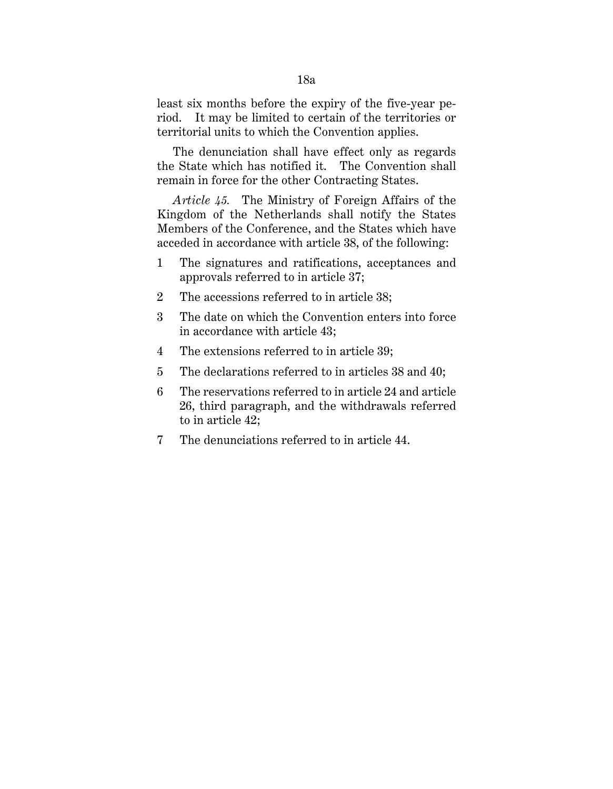least six months before the expiry of the five-year period. It may be limited to certain of the territories or territorial units to which the Convention applies.

The denunciation shall have effect only as regards the State which has notified it. The Convention shall remain in force for the other Contracting States.

*Article 45.* The Ministry of Foreign Affairs of the Kingdom of the Netherlands shall notify the States Members of the Conference, and the States which have acceded in accordance with article 38, of the following:

- 1 The signatures and ratifications, acceptances and approvals referred to in article 37;
- 2 The accessions referred to in article 38;
- 3 The date on which the Convention enters into force in accordance with article 43;
- 4 The extensions referred to in article 39;
- 5 The declarations referred to in articles 38 and 40;
- 6 The reservations referred to in article 24 and article 26, third paragraph, and the withdrawals referred to in article 42;
- 7 The denunciations referred to in article 44.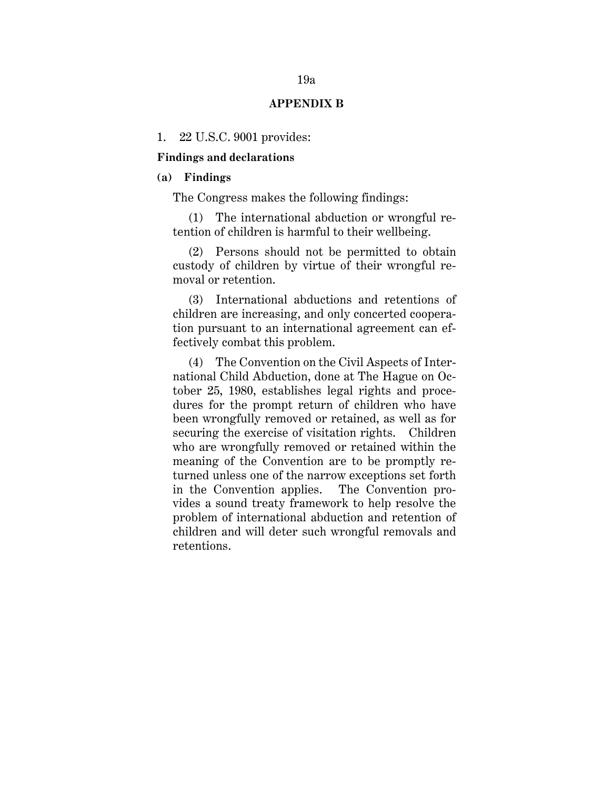#### **APPENDIX B**

#### 1. 22 U.S.C. 9001 provides:

#### **Findings and declarations**

### **(a) Findings**

The Congress makes the following findings:

(1) The international abduction or wrongful retention of children is harmful to their wellbeing.

(2) Persons should not be permitted to obtain custody of children by virtue of their wrongful removal or retention.

(3) International abductions and retentions of children are increasing, and only concerted cooperation pursuant to an international agreement can effectively combat this problem.

(4) The Convention on the Civil Aspects of International Child Abduction, done at The Hague on October 25, 1980, establishes legal rights and procedures for the prompt return of children who have been wrongfully removed or retained, as well as for securing the exercise of visitation rights. Children who are wrongfully removed or retained within the meaning of the Convention are to be promptly returned unless one of the narrow exceptions set forth in the Convention applies. The Convention provides a sound treaty framework to help resolve the problem of international abduction and retention of children and will deter such wrongful removals and retentions.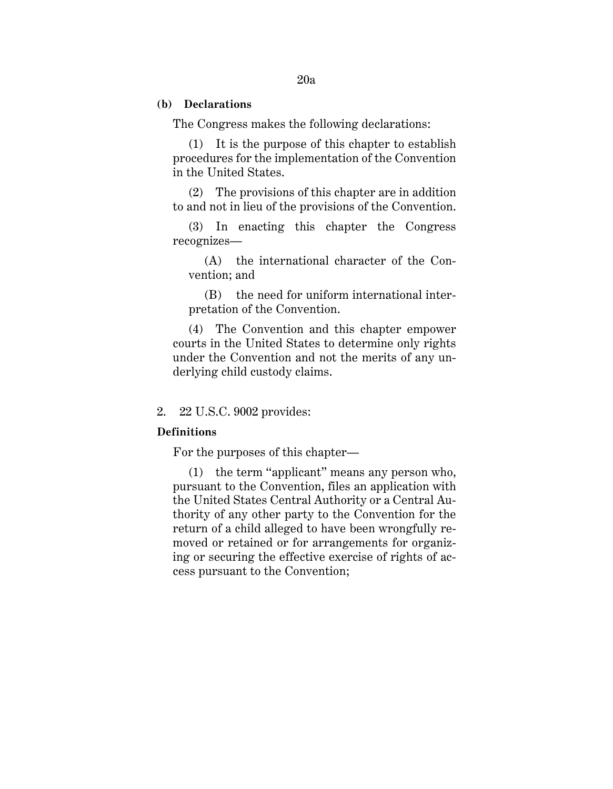#### **(b) Declarations**

The Congress makes the following declarations:

(1) It is the purpose of this chapter to establish procedures for the implementation of the Convention in the United States.

(2) The provisions of this chapter are in addition to and not in lieu of the provisions of the Convention.

(3) In enacting this chapter the Congress recognizes—

(A) the international character of the Convention; and

(B) the need for uniform international interpretation of the Convention.

(4) The Convention and this chapter empower courts in the United States to determine only rights under the Convention and not the merits of any underlying child custody claims.

#### 2. 22 U.S.C. 9002 provides:

# **Definitions**

For the purposes of this chapter—

(1) the term ''applicant'' means any person who, pursuant to the Convention, files an application with the United States Central Authority or a Central Authority of any other party to the Convention for the return of a child alleged to have been wrongfully removed or retained or for arrangements for organizing or securing the effective exercise of rights of access pursuant to the Convention;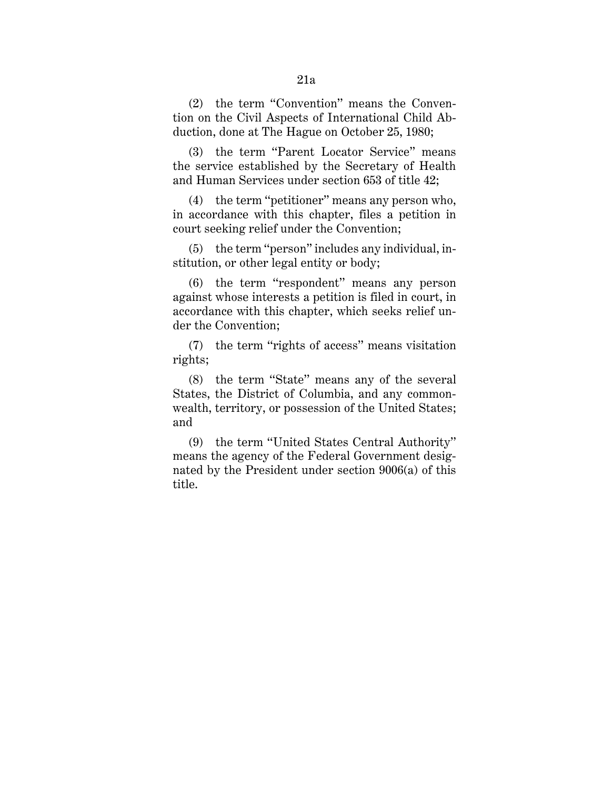(2) the term ''Convention'' means the Convention on the Civil Aspects of International Child Abduction, done at The Hague on October 25, 1980;

(3) the term ''Parent Locator Service'' means the service established by the Secretary of Health and Human Services under section 653 of title 42;

(4) the term ''petitioner'' means any person who, in accordance with this chapter, files a petition in court seeking relief under the Convention;

(5) the term ''person'' includes any individual, institution, or other legal entity or body;

(6) the term ''respondent'' means any person against whose interests a petition is filed in court, in accordance with this chapter, which seeks relief under the Convention;

(7) the term ''rights of access'' means visitation rights;

(8) the term ''State'' means any of the several States, the District of Columbia, and any commonwealth, territory, or possession of the United States; and

(9) the term ''United States Central Authority'' means the agency of the Federal Government designated by the President under section 9006(a) of this title.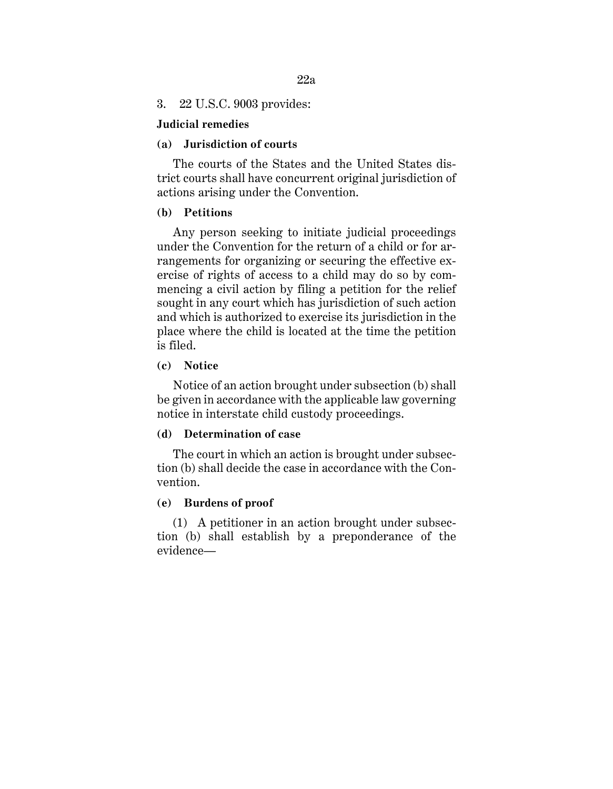# **Judicial remedies**

### **(a) Jurisdiction of courts**

The courts of the States and the United States district courts shall have concurrent original jurisdiction of actions arising under the Convention.

# **(b) Petitions**

Any person seeking to initiate judicial proceedings under the Convention for the return of a child or for arrangements for organizing or securing the effective exercise of rights of access to a child may do so by commencing a civil action by filing a petition for the relief sought in any court which has jurisdiction of such action and which is authorized to exercise its jurisdiction in the place where the child is located at the time the petition is filed.

### **(c) Notice**

Notice of an action brought under subsection (b) shall be given in accordance with the applicable law governing notice in interstate child custody proceedings.

# **(d) Determination of case**

The court in which an action is brought under subsection (b) shall decide the case in accordance with the Convention.

# **(e) Burdens of proof**

(1) A petitioner in an action brought under subsection (b) shall establish by a preponderance of the evidence—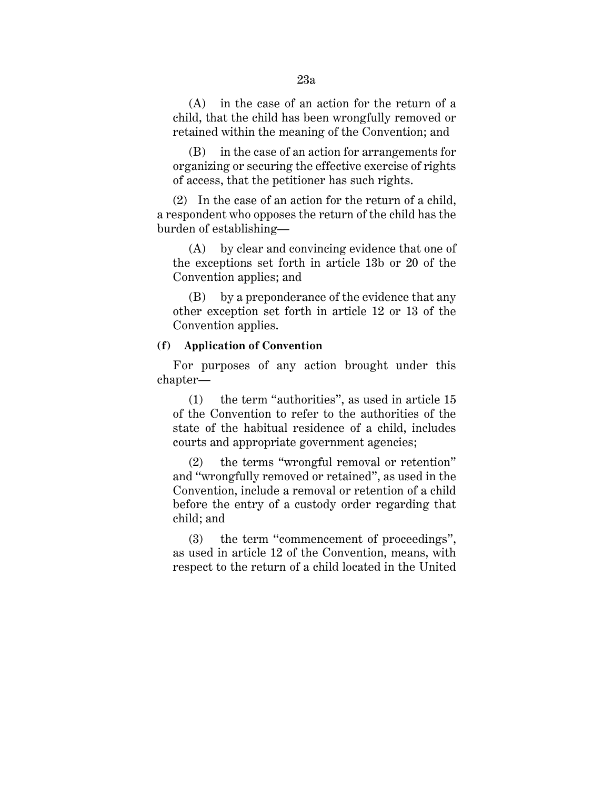(A) in the case of an action for the return of a child, that the child has been wrongfully removed or retained within the meaning of the Convention; and

(B) in the case of an action for arrangements for organizing or securing the effective exercise of rights of access, that the petitioner has such rights.

(2) In the case of an action for the return of a child, a respondent who opposes the return of the child has the burden of establishing—

(A) by clear and convincing evidence that one of the exceptions set forth in article 13b or 20 of the Convention applies; and

(B) by a preponderance of the evidence that any other exception set forth in article 12 or 13 of the Convention applies.

# **(f) Application of Convention**

For purposes of any action brought under this chapter—

(1) the term ''authorities'', as used in article 15 of the Convention to refer to the authorities of the state of the habitual residence of a child, includes courts and appropriate government agencies;

(2) the terms ''wrongful removal or retention'' and ''wrongfully removed or retained'', as used in the Convention, include a removal or retention of a child before the entry of a custody order regarding that child; and

(3) the term ''commencement of proceedings'', as used in article 12 of the Convention, means, with respect to the return of a child located in the United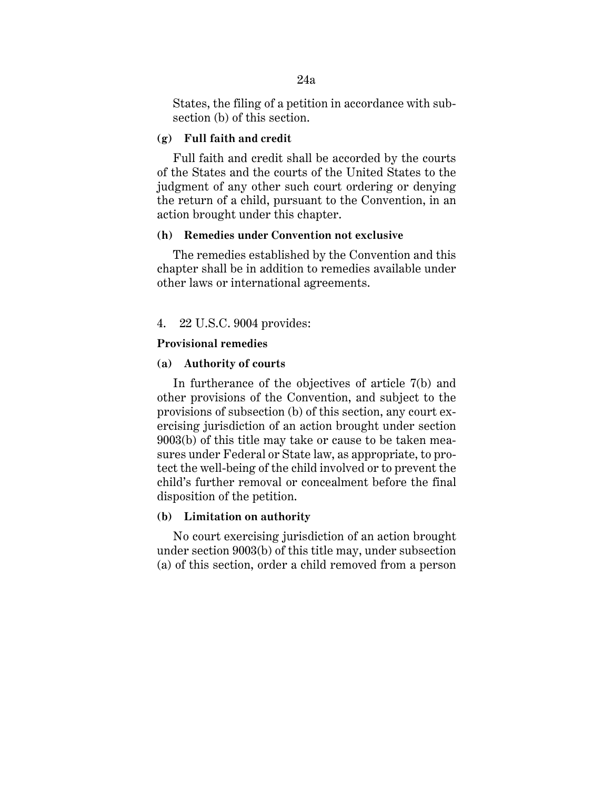States, the filing of a petition in accordance with subsection (b) of this section.

# **(g) Full faith and credit**

Full faith and credit shall be accorded by the courts of the States and the courts of the United States to the judgment of any other such court ordering or denying the return of a child, pursuant to the Convention, in an action brought under this chapter.

### **(h) Remedies under Convention not exclusive**

The remedies established by the Convention and this chapter shall be in addition to remedies available under other laws or international agreements.

# 4. 22 U.S.C. 9004 provides:

### **Provisional remedies**

# **(a) Authority of courts**

In furtherance of the objectives of article 7(b) and other provisions of the Convention, and subject to the provisions of subsection (b) of this section, any court exercising jurisdiction of an action brought under section 9003(b) of this title may take or cause to be taken measures under Federal or State law, as appropriate, to protect the well-being of the child involved or to prevent the child's further removal or concealment before the final disposition of the petition.

# **(b) Limitation on authority**

No court exercising jurisdiction of an action brought under section 9003(b) of this title may, under subsection (a) of this section, order a child removed from a person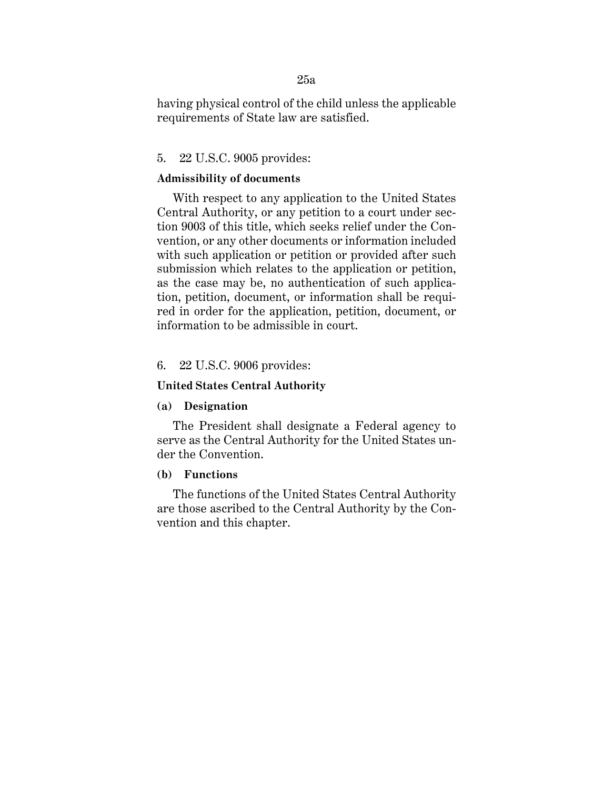having physical control of the child unless the applicable requirements of State law are satisfied.

# 5. 22 U.S.C. 9005 provides:

# **Admissibility of documents**

With respect to any application to the United States Central Authority, or any petition to a court under section 9003 of this title, which seeks relief under the Convention, or any other documents or information included with such application or petition or provided after such submission which relates to the application or petition, as the case may be, no authentication of such application, petition, document, or information shall be required in order for the application, petition, document, or information to be admissible in court.

### 6. 22 U.S.C. 9006 provides:

# **United States Central Authority**

### **(a) Designation**

The President shall designate a Federal agency to serve as the Central Authority for the United States under the Convention.

# **(b) Functions**

The functions of the United States Central Authority are those ascribed to the Central Authority by the Convention and this chapter.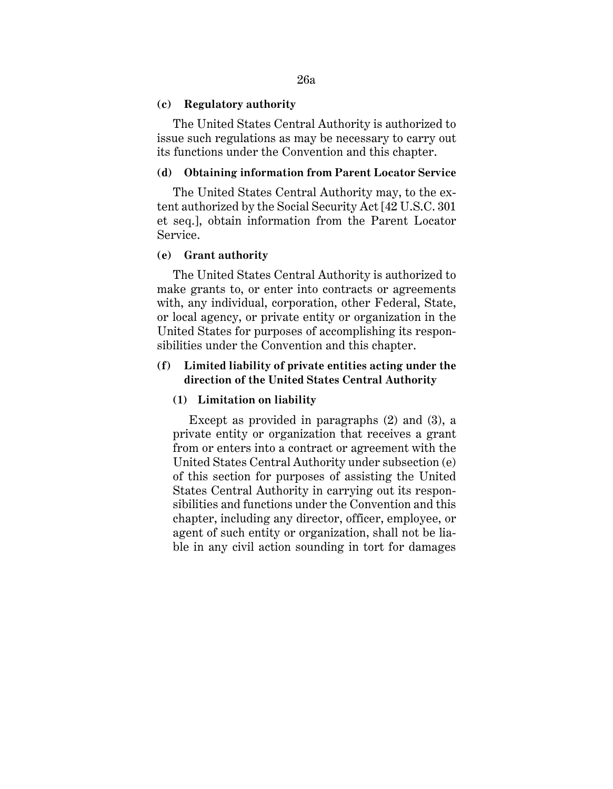### **(c) Regulatory authority**

The United States Central Authority is authorized to issue such regulations as may be necessary to carry out its functions under the Convention and this chapter.

# **(d) Obtaining information from Parent Locator Service**

The United States Central Authority may, to the extent authorized by the Social Security Act [42 U.S.C. 301 et seq.], obtain information from the Parent Locator Service.

#### **(e) Grant authority**

The United States Central Authority is authorized to make grants to, or enter into contracts or agreements with, any individual, corporation, other Federal, State, or local agency, or private entity or organization in the United States for purposes of accomplishing its responsibilities under the Convention and this chapter.

# **(f) Limited liability of private entities acting under the direction of the United States Central Authority**

# **(1) Limitation on liability**

Except as provided in paragraphs (2) and (3), a private entity or organization that receives a grant from or enters into a contract or agreement with the United States Central Authority under subsection (e) of this section for purposes of assisting the United States Central Authority in carrying out its responsibilities and functions under the Convention and this chapter, including any director, officer, employee, or agent of such entity or organization, shall not be liable in any civil action sounding in tort for damages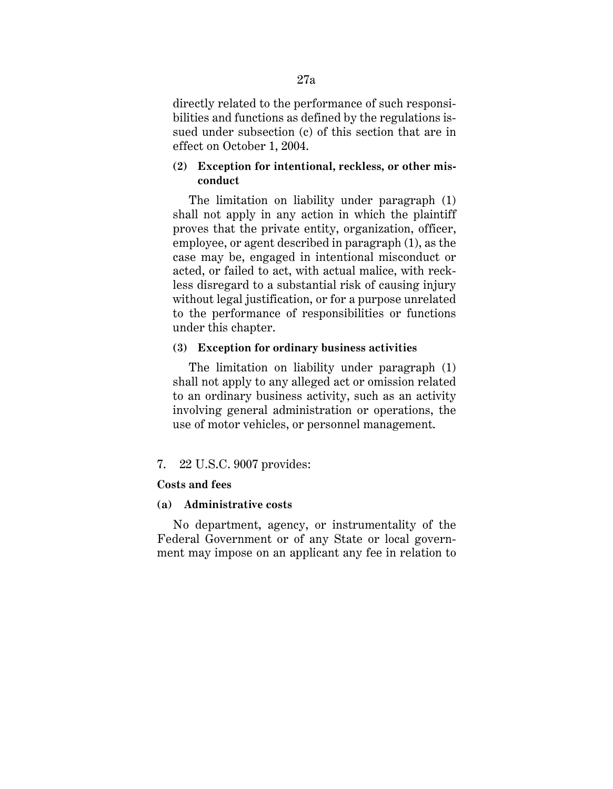directly related to the performance of such responsibilities and functions as defined by the regulations issued under subsection (c) of this section that are in effect on October 1, 2004.

# **(2) Exception for intentional, reckless, or other misconduct**

The limitation on liability under paragraph (1) shall not apply in any action in which the plaintiff proves that the private entity, organization, officer, employee, or agent described in paragraph (1), as the case may be, engaged in intentional misconduct or acted, or failed to act, with actual malice, with reckless disregard to a substantial risk of causing injury without legal justification, or for a purpose unrelated to the performance of responsibilities or functions under this chapter.

### **(3) Exception for ordinary business activities**

The limitation on liability under paragraph (1) shall not apply to any alleged act or omission related to an ordinary business activity, such as an activity involving general administration or operations, the use of motor vehicles, or personnel management.

# 7. 22 U.S.C. 9007 provides:

# **Costs and fees**

#### **(a) Administrative costs**

No department, agency, or instrumentality of the Federal Government or of any State or local government may impose on an applicant any fee in relation to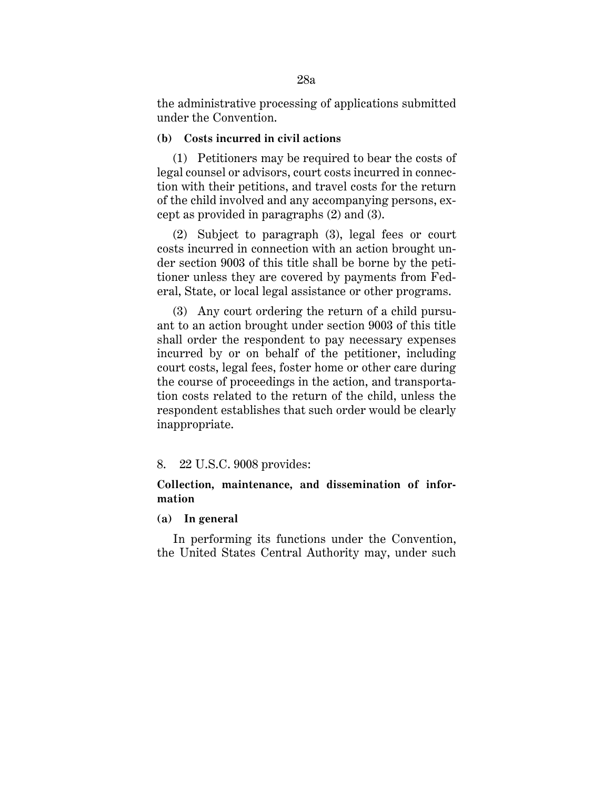the administrative processing of applications submitted under the Convention.

# **(b) Costs incurred in civil actions**

(1) Petitioners may be required to bear the costs of legal counsel or advisors, court costs incurred in connection with their petitions, and travel costs for the return of the child involved and any accompanying persons, except as provided in paragraphs (2) and (3).

(2) Subject to paragraph (3), legal fees or court costs incurred in connection with an action brought under section 9003 of this title shall be borne by the petitioner unless they are covered by payments from Federal, State, or local legal assistance or other programs.

(3) Any court ordering the return of a child pursuant to an action brought under section 9003 of this title shall order the respondent to pay necessary expenses incurred by or on behalf of the petitioner, including court costs, legal fees, foster home or other care during the course of proceedings in the action, and transportation costs related to the return of the child, unless the respondent establishes that such order would be clearly inappropriate.

# 8. 22 U.S.C. 9008 provides:

# **Collection, maintenance, and dissemination of information**

# **(a) In general**

In performing its functions under the Convention, the United States Central Authority may, under such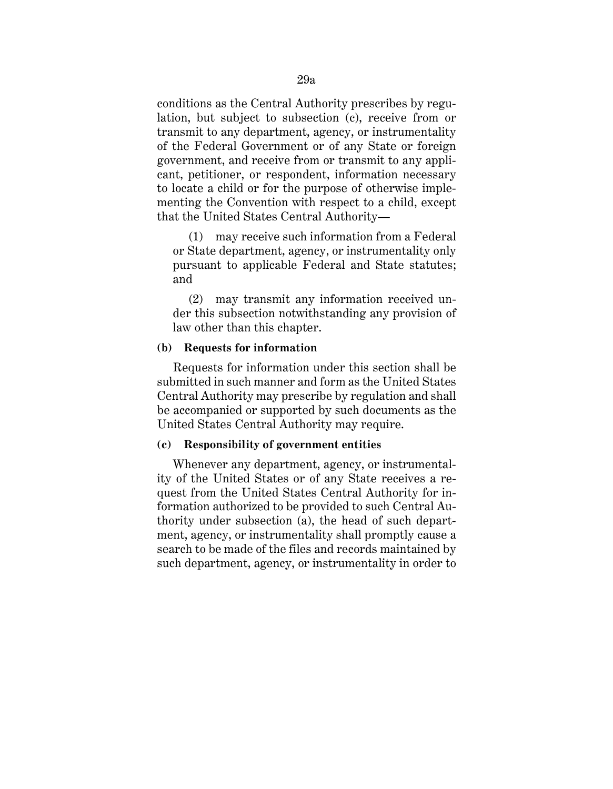conditions as the Central Authority prescribes by regulation, but subject to subsection (c), receive from or transmit to any department, agency, or instrumentality of the Federal Government or of any State or foreign government, and receive from or transmit to any applicant, petitioner, or respondent, information necessary to locate a child or for the purpose of otherwise implementing the Convention with respect to a child, except that the United States Central Authority—

(1) may receive such information from a Federal or State department, agency, or instrumentality only pursuant to applicable Federal and State statutes; and

(2) may transmit any information received under this subsection notwithstanding any provision of law other than this chapter.

# **(b) Requests for information**

Requests for information under this section shall be submitted in such manner and form as the United States Central Authority may prescribe by regulation and shall be accompanied or supported by such documents as the United States Central Authority may require.

# **(c) Responsibility of government entities**

Whenever any department, agency, or instrumentality of the United States or of any State receives a request from the United States Central Authority for information authorized to be provided to such Central Authority under subsection (a), the head of such department, agency, or instrumentality shall promptly cause a search to be made of the files and records maintained by such department, agency, or instrumentality in order to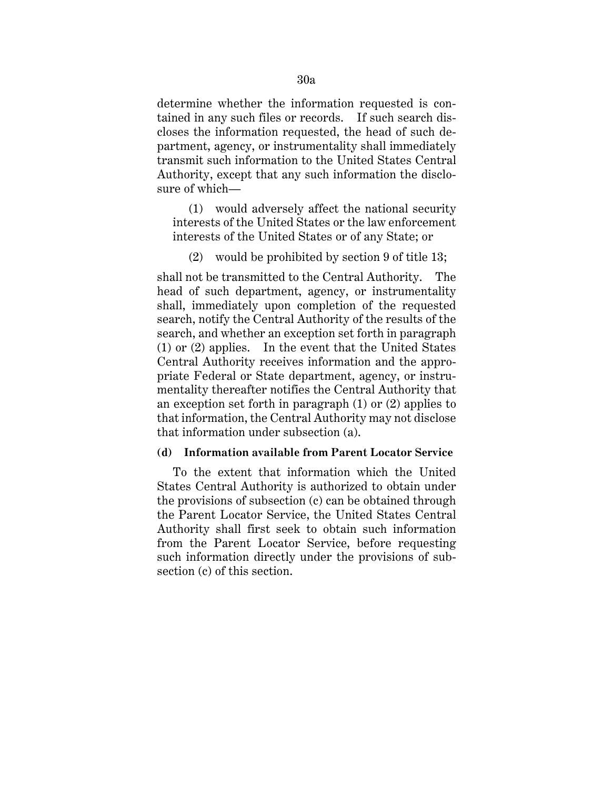determine whether the information requested is contained in any such files or records. If such search discloses the information requested, the head of such department, agency, or instrumentality shall immediately transmit such information to the United States Central Authority, except that any such information the disclosure of which—

(1) would adversely affect the national security interests of the United States or the law enforcement interests of the United States or of any State; or

# (2) would be prohibited by section 9 of title 13;

shall not be transmitted to the Central Authority. The head of such department, agency, or instrumentality shall, immediately upon completion of the requested search, notify the Central Authority of the results of the search, and whether an exception set forth in paragraph (1) or (2) applies. In the event that the United States Central Authority receives information and the appropriate Federal or State department, agency, or instrumentality thereafter notifies the Central Authority that an exception set forth in paragraph (1) or (2) applies to that information, the Central Authority may not disclose that information under subsection (a).

# **(d) Information available from Parent Locator Service**

To the extent that information which the United States Central Authority is authorized to obtain under the provisions of subsection (c) can be obtained through the Parent Locator Service, the United States Central Authority shall first seek to obtain such information from the Parent Locator Service, before requesting such information directly under the provisions of subsection (c) of this section.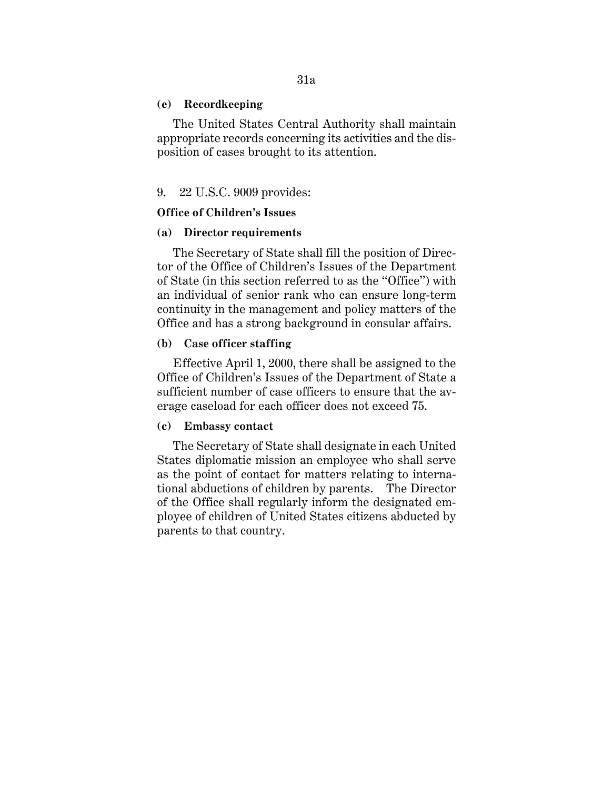#### **(e) Recordkeeping**

The United States Central Authority shall maintain appropriate records concerning its activities and the disposition of cases brought to its attention.

# 9. 22 U.S.C. 9009 provides:

# **Office of Children's Issues**

### **(a) Director requirements**

The Secretary of State shall fill the position of Director of the Office of Children's Issues of the Department of State (in this section referred to as the ''Office'') with an individual of senior rank who can ensure long-term continuity in the management and policy matters of the Office and has a strong background in consular affairs.

# **(b) Case officer staffing**

Effective April 1, 2000, there shall be assigned to the Office of Children's Issues of the Department of State a sufficient number of case officers to ensure that the average caseload for each officer does not exceed 75.

# **(c) Embassy contact**

The Secretary of State shall designate in each United States diplomatic mission an employee who shall serve as the point of contact for matters relating to international abductions of children by parents. The Director of the Office shall regularly inform the designated employee of children of United States citizens abducted by parents to that country.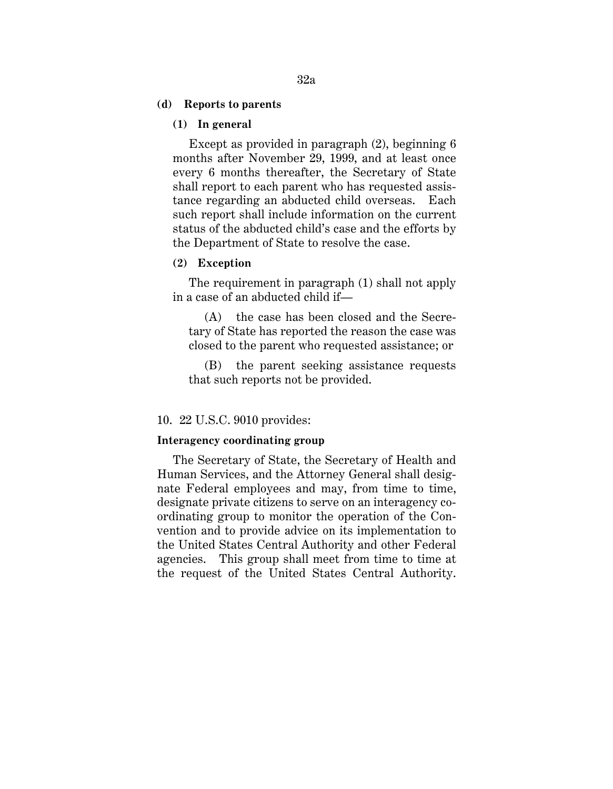#### **(d) Reports to parents**

# **(1) In general**

Except as provided in paragraph (2), beginning 6 months after November 29, 1999, and at least once every 6 months thereafter, the Secretary of State shall report to each parent who has requested assistance regarding an abducted child overseas. Each such report shall include information on the current status of the abducted child's case and the efforts by the Department of State to resolve the case.

### **(2) Exception**

The requirement in paragraph (1) shall not apply in a case of an abducted child if—

(A) the case has been closed and the Secretary of State has reported the reason the case was closed to the parent who requested assistance; or

(B) the parent seeking assistance requests that such reports not be provided.

## 10. 22 U.S.C. 9010 provides:

#### **Interagency coordinating group**

The Secretary of State, the Secretary of Health and Human Services, and the Attorney General shall designate Federal employees and may, from time to time, designate private citizens to serve on an interagency coordinating group to monitor the operation of the Convention and to provide advice on its implementation to the United States Central Authority and other Federal agencies. This group shall meet from time to time at the request of the United States Central Authority.